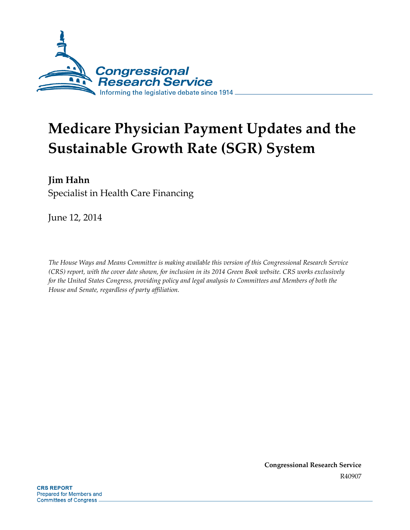

# **Medicare Physician Payment Updates and the Sustainable Growth Rate (SGR) System**

## **Jim Hahn**

Specialist in Health Care Financing

June 12, 2014

*The House Ways and Means Committee is making available this version of this Congressional Research Service (CRS) report, with the cover date shown, for inclusion in its 2014 Green Book website. CRS works exclusively for the United States Congress, providing policy and legal analysis to Committees and Members of both the House and Senate, regardless of party affiliation.*

> **Congressional Research Service** R40907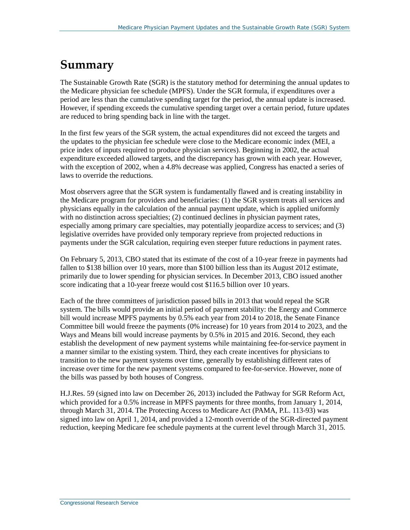## **Summary**

The Sustainable Growth Rate (SGR) is the statutory method for determining the annual updates to the Medicare physician fee schedule (MPFS). Under the SGR formula, if expenditures over a period are less than the cumulative spending target for the period, the annual update is increased. However, if spending exceeds the cumulative spending target over a certain period, future updates are reduced to bring spending back in line with the target.

In the first few years of the SGR system, the actual expenditures did not exceed the targets and the updates to the physician fee schedule were close to the Medicare economic index (MEI, a price index of inputs required to produce physician services). Beginning in 2002, the actual expenditure exceeded allowed targets, and the discrepancy has grown with each year. However, with the exception of 2002, when a 4.8% decrease was applied, Congress has enacted a series of laws to override the reductions.

Most observers agree that the SGR system is fundamentally flawed and is creating instability in the Medicare program for providers and beneficiaries: (1) the SGR system treats all services and physicians equally in the calculation of the annual payment update, which is applied uniformly with no distinction across specialties; (2) continued declines in physician payment rates, especially among primary care specialties, may potentially jeopardize access to services; and (3) legislative overrides have provided only temporary reprieve from projected reductions in payments under the SGR calculation, requiring even steeper future reductions in payment rates.

On February 5, 2013, CBO stated that its estimate of the cost of a 10-year freeze in payments had fallen to \$138 billion over 10 years, more than \$100 billion less than its August 2012 estimate, primarily due to lower spending for physician services. In December 2013, CBO issued another score indicating that a 10-year freeze would cost \$116.5 billion over 10 years.

Each of the three committees of jurisdiction passed bills in 2013 that would repeal the SGR system. The bills would provide an initial period of payment stability: the Energy and Commerce bill would increase MPFS payments by 0.5% each year from 2014 to 2018, the Senate Finance Committee bill would freeze the payments (0% increase) for 10 years from 2014 to 2023, and the Ways and Means bill would increase payments by 0.5% in 2015 and 2016. Second, they each establish the development of new payment systems while maintaining fee-for-service payment in a manner similar to the existing system. Third, they each create incentives for physicians to transition to the new payment systems over time, generally by establishing different rates of increase over time for the new payment systems compared to fee-for-service. However, none of the bills was passed by both houses of Congress.

[H.J.Res. 59](http://www.congress.gov/cgi-lis/bdquery/z?d113:H.J.Res.59:) (signed into law on December 26, 2013) included the Pathway for SGR Reform Act, which provided for a 0.5% increase in MPFS payments for three months, from January 1, 2014, through March 31, 2014. The Protecting Access to Medicare Act (PAMA, [P.L. 113-93\)](http://www.congress.gov/cgi-lis/bdquery/R?d113:FLD002:@1(113+93)) was signed into law on April 1, 2014, and provided a 12-month override of the SGR-directed payment reduction, keeping Medicare fee schedule payments at the current level through March 31, 2015.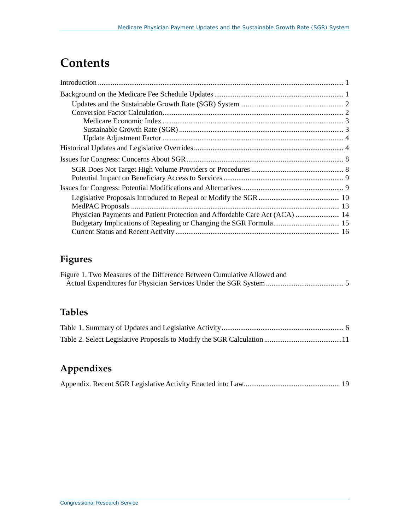## **Contents**

| Physician Payments and Patient Protection and Affordable Care Act (ACA)  14 |  |
|-----------------------------------------------------------------------------|--|
|                                                                             |  |
|                                                                             |  |

## **Figures**

| Figure 1. Two Measures of the Difference Between Cumulative Allowed and |  |
|-------------------------------------------------------------------------|--|
|                                                                         |  |

## **Tables**

## **Appendixes**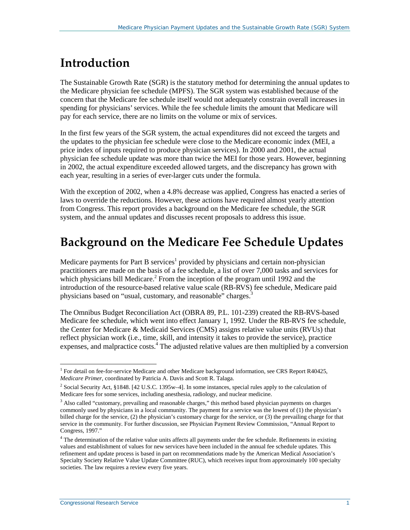## <span id="page-3-0"></span>**Introduction**

The Sustainable Growth Rate (SGR) is the statutory method for determining the annual updates to the Medicare physician fee schedule (MPFS). The SGR system was established because of the concern that the Medicare fee schedule itself would not adequately constrain overall increases in spending for physicians' services. While the fee schedule limits the amount that Medicare will pay for each service, there are no limits on the volume or mix of services.

In the first few years of the SGR system, the actual expenditures did not exceed the targets and the updates to the physician fee schedule were close to the Medicare economic index (MEI, a price index of inputs required to produce physician services). In 2000 and 2001, the actual physician fee schedule update was more than twice the MEI for those years. However, beginning in 2002, the actual expenditure exceeded allowed targets, and the discrepancy has grown with each year, resulting in a series of ever-larger cuts under the formula.

With the exception of 2002, when a 4.8% decrease was applied, Congress has enacted a series of laws to override the reductions. However, these actions have required almost yearly attention from Congress. This report provides a background on the Medicare fee schedule, the SGR system, and the annual updates and discusses recent proposals to address this issue.

## <span id="page-3-1"></span>**Background on the Medicare Fee Schedule Updates**

Medicare payments for Part B services<sup>1</sup> provided by physicians and certain non-physician practitioners are made on the basis of a fee schedule, a list of over 7,000 tasks and services for which physicians bill Medicare.<sup>2</sup> From the inception of the program until 1992 and the introduction of the resource-based relative value scale (RB-RVS) fee schedule, Medicare paid physicians based on "usual, customary, and reasonable" charges.<sup>3</sup>

The Omnibus Budget Reconciliation Act (OBRA 89, [P.L. 101-239\)](http://www.congress.gov/cgi-lis/bdquery/R?d101:FLD002:@1(101+239)) created the RB-RVS-based Medicare fee schedule, which went into effect January 1, 1992. Under the RB-RVS fee schedule, the Center for Medicare & Medicaid Services (CMS) assigns relative value units (RVUs) that reflect physician work (i.e., time, skill, and intensity it takes to provide the service), practice expenses, and malpractice costs.<sup>4</sup> The adjusted relative values are then multiplied by a conversion

<sup>&</sup>lt;sup>1</sup> For detail on fee-for-service Medicare and other Medicare background information, see CRS Report R40425, *[Medicare Primer](http://www.crs.gov/pages/Reports.aspx?PRODCODE=R40425)*, coordinated by Patricia A. Davis and Scott R. Talaga.  $\overline{a}$ 

<sup>2</sup> Social Security Act, §1848. [42 U.S.C. 1395w–4]. In some instances, special rules apply to the calculation of Medicare fees for some services, including anesthesia, radiology, and nuclear medicine.

<sup>&</sup>lt;sup>3</sup> Also called "customary, prevailing and reasonable charges," this method based physician payments on charges commonly used by physicians in a local community. The payment for a service was the lowest of (1) the physician's billed charge for the service, (2) the physician's customary charge for the service, or (3) the prevailing charge for that service in the community. For further discussion, see Physician Payment Review Commission, "Annual Report to Congress, 1997."

<sup>&</sup>lt;sup>4</sup> The determination of the relative value units affects all payments under the fee schedule. Refinements in existing values and establishment of values for new services have been included in the annual fee schedule updates. This refinement and update process is based in part on recommendations made by the American Medical Association's Specialty Society Relative Value Update Committee (RUC), which receives input from approximately 100 specialty societies. The law requires a review every five years.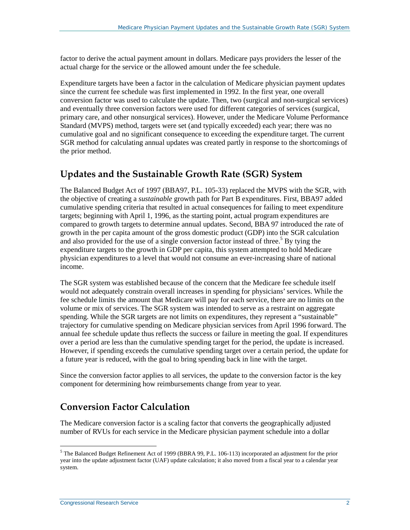factor to derive the actual payment amount in dollars. Medicare pays providers the lesser of the actual charge for the service or the allowed amount under the fee schedule.

Expenditure targets have been a factor in the calculation of Medicare physician payment updates since the current fee schedule was first implemented in 1992. In the first year, one overall conversion factor was used to calculate the update. Then, two (surgical and non-surgical services) and eventually three conversion factors were used for different categories of services (surgical, primary care, and other nonsurgical services). However, under the Medicare Volume Performance Standard (MVPS) method, targets were set (and typically exceeded) each year; there was no cumulative goal and no significant consequence to exceeding the expenditure target. The current SGR method for calculating annual updates was created partly in response to the shortcomings of the prior method.

## <span id="page-4-0"></span>**Updates and the Sustainable Growth Rate (SGR) System**

The Balanced Budget Act of 1997 (BBA97, [P.L. 105-33\)](http://www.congress.gov/cgi-lis/bdquery/R?d105:FLD002:@1(105+33)) replaced the MVPS with the SGR, with the objective of creating a *sustainable* growth path for Part B expenditures. First, BBA97 added cumulative spending criteria that resulted in actual consequences for failing to meet expenditure targets; beginning with April 1, 1996, as the starting point, actual program expenditures are compared to growth targets to determine annual updates. Second, BBA 97 introduced the rate of growth in the per capita amount of the gross domestic product (GDP) into the SGR calculation and also provided for the use of a single conversion factor instead of three.<sup>5</sup> By tying the expenditure targets to the growth in GDP per capita, this system attempted to hold Medicare physician expenditures to a level that would not consume an ever-increasing share of national income.

The SGR system was established because of the concern that the Medicare fee schedule itself would not adequately constrain overall increases in spending for physicians' services. While the fee schedule limits the amount that Medicare will pay for each service, there are no limits on the volume or mix of services. The SGR system was intended to serve as a restraint on aggregate spending. While the SGR targets are not limits on expenditures, they represent a "sustainable" trajectory for cumulative spending on Medicare physician services from April 1996 forward. The annual fee schedule update thus reflects the success or failure in meeting the goal. If expenditures over a period are less than the cumulative spending target for the period, the update is increased. However, if spending exceeds the cumulative spending target over a certain period, the update for a future year is reduced, with the goal to bring spending back in line with the target.

Since the conversion factor applies to all services, the update to the conversion factor is the key component for determining how reimbursements change from year to year.

## <span id="page-4-1"></span>**Conversion Factor Calculation**

The Medicare conversion factor is a scaling factor that converts the geographically adjusted number of RVUs for each service in the Medicare physician payment schedule into a dollar

<sup>5</sup> The Balanced Budget Refinement Act of 1999 (BBRA 99, [P.L. 106-113\)](http://www.congress.gov/cgi-lis/bdquery/R?d106:FLD002:@1(106+113)) incorporated an adjustment for the prior year into the update adjustment factor (UAF) update calculation; it also moved from a fiscal year to a calendar year system.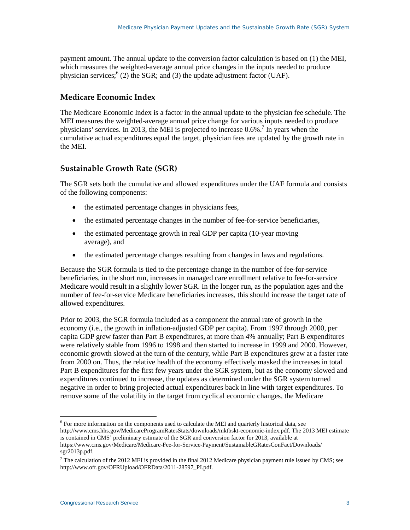payment amount. The annual update to the conversion factor calculation is based on (1) the MEI, which measures the weighted-average annual price changes in the inputs needed to produce physician services;  $(2)$  the SGR; and (3) the update adjustment factor (UAF).

#### <span id="page-5-0"></span>**Medicare Economic Index**

The Medicare Economic Index is a factor in the annual update to the physician fee schedule. The MEI measures the weighted-average annual price change for various inputs needed to produce physicians' services. In 2013, the MEI is projected to increase  $0.6\%$ .<sup>7</sup> In years when the cumulative actual expenditures equal the target, physician fees are updated by the growth rate in the MEI.

#### <span id="page-5-1"></span>**Sustainable Growth Rate (SGR)**

The SGR sets both the cumulative and allowed expenditures under the UAF formula and consists of the following components:

- the estimated percentage changes in physicians fees,
- the estimated percentage changes in the number of fee-for-service beneficiaries,
- the estimated percentage growth in real GDP per capita (10-year moving average), and
- the estimated percentage changes resulting from changes in laws and regulations.

Because the SGR formula is tied to the percentage change in the number of fee-for-service beneficiaries, in the short run, increases in managed care enrollment relative to fee-for-service Medicare would result in a slightly lower SGR. In the longer run, as the population ages and the number of fee-for-service Medicare beneficiaries increases, this should increase the target rate of allowed expenditures.

Prior to 2003, the SGR formula included as a component the annual rate of growth in the economy (i.e., the growth in inflation-adjusted GDP per capita). From 1997 through 2000, per capita GDP grew faster than Part B expenditures, at more than 4% annually; Part B expenditures were relatively stable from 1996 to 1998 and then started to increase in 1999 and 2000. However, economic growth slowed at the turn of the century, while Part B expenditures grew at a faster rate from 2000 on. Thus, the relative health of the economy effectively masked the increases in total Part B expenditures for the first few years under the SGR system, but as the economy slowed and expenditures continued to increase, the updates as determined under the SGR system turned negative in order to bring projected actual expenditures back in line with target expenditures. To remove some of the volatility in the target from cyclical economic changes, the Medicare

<sup>&</sup>lt;sup>6</sup> For more information on the components used to calculate the MEI and quarterly historical data, see [http://www.cms.hhs.gov/MedicareProgramRatesStats/downloads/mktbskt-economic-index.pdf.](http://www.cms.hhs.gov/MedicareProgramRatesStats/downloads/mktbskt-economic-index.pdf) The 2013 MEI estimate is contained in CMS' preliminary estimate of the SGR and conversion factor for 2013, available at [https://www.cms.gov/Medicare/Medicare-Fee-for-Service-Payment/SustainableGRatesConFact/Downloads/](https://www.cms.gov/Medicare/Medicare-Fee-for-Service-Payment/SustainableGRatesConFact/Downloads/sgr2013p.pdf) [sgr2013p.pdf.](https://www.cms.gov/Medicare/Medicare-Fee-for-Service-Payment/SustainableGRatesConFact/Downloads/sgr2013p.pdf)  $\overline{a}$ 

 $^7$  The calculation of the 2012 MEI is provided in the final 2012 Medicare physician payment rule issued by CMS; see [http://www.ofr.gov/OFRUpload/OFRData/2011-28597\\_PI.pdf.](http://www.ofr.gov/OFRUpload/OFRData/2011-28597_PI.pdf)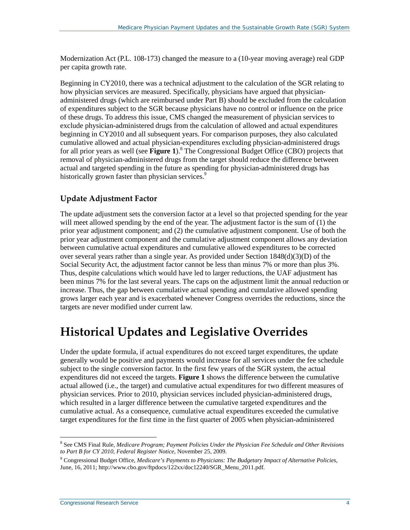Modernization Act [\(P.L. 108-173\)](http://www.congress.gov/cgi-lis/bdquery/R?d108:FLD002:@1(108+173)) changed the measure to a (10-year moving average) real GDP per capita growth rate.

Beginning in CY2010, there was a technical adjustment to the calculation of the SGR relating to how physician services are measured. Specifically, physicians have argued that physicianadministered drugs (which are reimbursed under Part B) should be excluded from the calculation of expenditures subject to the SGR because physicians have no control or influence on the price of these drugs. To address this issue, CMS changed the measurement of physician services to exclude physician-administered drugs from the calculation of allowed and actual expenditures beginning in CY2010 and all subsequent years. For comparison purposes, they also calculated cumulative allowed and actual physician-expenditures excluding physician-administered drugs for all prior years as well (see **[Figure 1](#page-7-0)**).8 The Congressional Budget Office (CBO) projects that removal of physician-administered drugs from the target should reduce the difference between actual and targeted spending in the future as spending for physician-administered drugs has historically grown faster than physician services.<sup>9</sup>

#### <span id="page-6-0"></span>**Update Adjustment Factor**

The update adjustment sets the conversion factor at a level so that projected spending for the year will meet allowed spending by the end of the year. The adjustment factor is the sum of (1) the prior year adjustment component; and (2) the cumulative adjustment component. Use of both the prior year adjustment component and the cumulative adjustment component allows any deviation between cumulative actual expenditures and cumulative allowed expenditures to be corrected over several years rather than a single year. As provided under Section  $1848(d)(3)(D)$  of the Social Security Act, the adjustment factor cannot be less than minus 7% or more than plus 3%. Thus, despite calculations which would have led to larger reductions, the UAF adjustment has been minus 7% for the last several years. The caps on the adjustment limit the annual reduction or increase. Thus, the gap between cumulative actual spending and cumulative allowed spending grows larger each year and is exacerbated whenever Congress overrides the reductions, since the targets are never modified under current law.

## <span id="page-6-1"></span>**Historical Updates and Legislative Overrides**

Under the update formula, if actual expenditures do not exceed target expenditures, the update generally would be positive and payments would increase for all services under the fee schedule subject to the single conversion factor. In the first few years of the SGR system, the actual expenditures did not exceed the targets. **[Figure 1](#page-7-0)** shows the difference between the cumulative actual allowed (i.e., the target) and cumulative actual expenditures for two different measures of physician services. Prior to 2010, physician services included physician-administered drugs, which resulted in a larger difference between the cumulative targeted expenditures and the cumulative actual. As a consequence, cumulative actual expenditures exceeded the cumulative target expenditures for the first time in the first quarter of 2005 when physician-administered

<sup>8</sup> See CMS Final Rule, *Medicare Program; Payment Policies Under the Physician Fee Schedule and Other Revisions to Part B for CY 2010, Federal Register Notice,* November 25, 2009.  $\overline{a}$ 

<sup>9</sup> Congressional Budget Office, *Medicare's Payments to Physicians: The Budgetary Impact of Alternative Policies*, June, 16, 2011[; http://www.cbo.gov/ftpdocs/122xx/doc12240/SGR\\_Menu\\_2011.pdf.](http://www.cbo.gov/ftpdocs/122xx/doc12240/SGR_Menu_2011.pdf)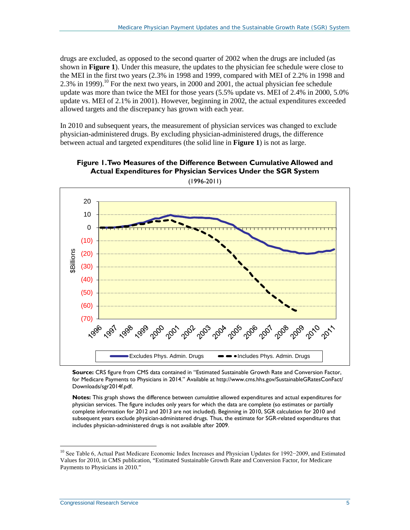drugs are excluded, as opposed to the second quarter of 2002 when the drugs are included (as shown in **[Figure 1](#page-7-0)**). Under this measure, the updates to the physician fee schedule were close to the MEI in the first two years (2.3% in 1998 and 1999, compared with MEI of 2.2% in 1998 and 2.3% in 1999).<sup>10</sup> For the next two years, in 2000 and 2001, the actual physician fee schedule update was more than twice the MEI for those years (5.5% update vs. MEI of 2.4% in 2000, 5.0% update vs. MEI of 2.1% in 2001). However, beginning in 2002, the actual expenditures exceeded allowed targets and the discrepancy has grown with each year.

In 2010 and subsequent years, the measurement of physician services was changed to exclude physician-administered drugs. By excluding physician-administered drugs, the difference between actual and targeted expenditures (the solid line in **[Figure 1](#page-7-0)**) is not as large.



<span id="page-7-0"></span>

(1996-2011)

**Source:** CRS figure from CMS data contained in "Estimated Sustainable Growth Rate and Conversion Factor, for Medicare Payments to Physicians in 2014." Available at [http://www.cms.hhs.gov/SustainableGRatesConFact/](http://www.cms.hhs.gov/SustainableGRatesConFact/Downloads/sgr2014f.pdf) [Downloads/sgr2014f.pdf.](http://www.cms.hhs.gov/SustainableGRatesConFact/Downloads/sgr2014f.pdf) 

**Notes:** This graph shows the difference between *cumulative* allowed expenditures and actual expenditures for physician services. The figure includes only years for which the data are complete (so estimates or partially complete information for 2012 and 2013 are not included). Beginning in 2010, SGR calculation for 2010 and subsequent years exclude physician-administered drugs. Thus, the estimate for SGR-related expenditures that includes physician-administered drugs is not available after 2009.

<sup>10</sup> See Table 6, Actual Past Medicare Economic Index Increases and Physician Updates for 1992−2009, and Estimated Values for 2010, in CMS publication, "Estimated Sustainable Growth Rate and Conversion Factor, for Medicare Payments to Physicians in 2010."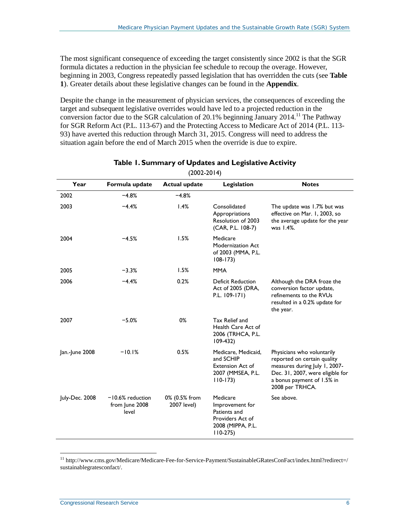The most significant consequence of exceeding the target consistently since 2002 is that the SGR formula dictates a reduction in the physician fee schedule to recoup the overage. However, beginning in 2003, Congress repeatedly passed legislation that has overridden the cuts (see **[Table](#page-8-0)  [1](#page-8-0)**). Greater details about these legislative changes can be found in the **[Appendix](#page-21-0)**.

Despite the change in the measurement of physician services, the consequences of exceeding the target and subsequent legislative overrides would have led to a projected reduction in the conversion factor due to the SGR calculation of 20.1% beginning January 2014.<sup>11</sup> The Pathway for SGR Reform Act [\(P.L. 113-67\)](http://www.congress.gov/cgi-lis/bdquery/R?d113:FLD002:@1(113+67)) and the Protecting Access to Medicare Act of 2014 [\(P.L. 113-](http://www.congress.gov/cgi-lis/bdquery/R?d113:FLD002:@1(113+93)) [93\)](http://www.congress.gov/cgi-lis/bdquery/R?d113:FLD002:@1(113+93)) have averted this reduction through March 31, 2015. Congress will need to address the situation again before the end of March 2015 when the override is due to expire.

<span id="page-8-0"></span>

| Year           | Formula update                                | <b>Actual update</b>         | Legislation                                                                                       | <b>Notes</b>                                                                                                                                                                    |
|----------------|-----------------------------------------------|------------------------------|---------------------------------------------------------------------------------------------------|---------------------------------------------------------------------------------------------------------------------------------------------------------------------------------|
| 2002           | $-4.8%$                                       | $-4.8%$                      |                                                                                                   |                                                                                                                                                                                 |
| 2003           | $-4.4%$                                       | 1.4%                         | Consolidated<br>Appropriations<br>Resolution of 2003<br>(CAR, P.L. 108-7)                         | The update was 1.7% but was<br>effective on Mar. 1, 2003, so<br>the average update for the year<br>was 1.4%.                                                                    |
| 2004           | $-4.5%$                                       | 1.5%                         | Medicare<br>Modernization Act<br>of 2003 (MMA, P.L.<br>$108 - 173$                                |                                                                                                                                                                                 |
| 2005           | $-3.3%$                                       | 1.5%                         | <b>MMA</b>                                                                                        |                                                                                                                                                                                 |
| 2006           | $-4.4%$                                       | 0.2%                         | <b>Deficit Reduction</b><br>Act of 2005 (DRA,<br>P.L. 109-171)                                    | Although the DRA froze the<br>conversion factor update,<br>refinements to the RVUs<br>resulted in a 0.2% update for<br>the year.                                                |
| 2007           | $-5.0%$                                       | 0%                           | Tax Relief and<br>Health Care Act of<br>2006 (TRHCA, P.L.<br>$109-432$                            |                                                                                                                                                                                 |
| Jan.-June 2008 | $-10.1%$                                      | 0.5%                         | Medicare, Medicaid,<br>and SCHIP<br><b>Extension Act of</b><br>2007 (MMSEA, P.L.<br>$110-173$     | Physicians who voluntarily<br>reported on certain quality<br>measures during July 1, 2007-<br>Dec. 31, 2007, were eligible for<br>a bonus payment of 1.5% in<br>2008 per TRHCA. |
| July-Dec. 2008 | $-10.6%$ reduction<br>from June 2008<br>level | 0% (0.5% from<br>2007 level) | Medicare<br>Improvement for<br>Patients and<br>Providers Act of<br>2008 (MIPPA, P.L.<br>$110-275$ | See above.                                                                                                                                                                      |

#### **Table 1. Summary of Updates and Legislative Activity** (2002-2014)

<sup>11</sup> [http://www.cms.gov/Medicare/Medicare-Fee-for-Service-Payment/SustainableGRatesConFact/index.html?redirect=/](http://www.cms.gov/Medicare/Medicare-Fee-for-Service-Payment/SustainableGRatesConFact/index.html?redirect=/sustainablegratesconfact/) [sustainablegratesconfact/.](http://www.cms.gov/Medicare/Medicare-Fee-for-Service-Payment/SustainableGRatesConFact/index.html?redirect=/sustainablegratesconfact/)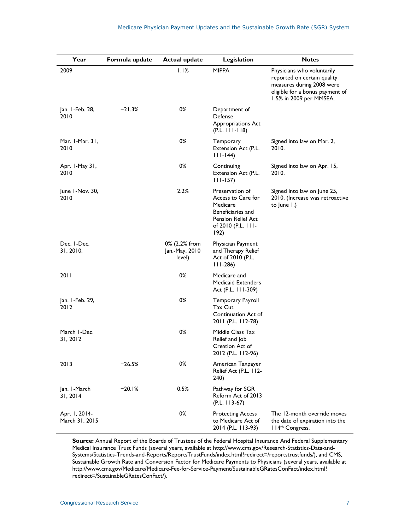| Year                            | Formula update | <b>Actual update</b>                      | Legislation                                                                                                                       | <b>Notes</b>                                                                                                                                         |
|---------------------------------|----------------|-------------------------------------------|-----------------------------------------------------------------------------------------------------------------------------------|------------------------------------------------------------------------------------------------------------------------------------------------------|
| 2009                            |                | 1.1%                                      | <b>MIPPA</b>                                                                                                                      | Physicians who voluntarily<br>reported on certain quality<br>measures during 2008 were<br>eligible for a bonus payment of<br>1.5% in 2009 per MMSEA. |
| Jan. I-Feb. 28,<br>2010         | $-21.3%$       | 0%                                        | Department of<br>Defense<br>Appropriations Act<br>$(P.L. 111 - 118)$                                                              |                                                                                                                                                      |
| Mar. 1-Mar. 31,<br>2010         |                | 0%                                        | Temporary<br>Extension Act (P.L.<br>$ 11-144\rangle$                                                                              | Signed into law on Mar. 2,<br>2010.                                                                                                                  |
| Apr. I-May 31,<br>2010          |                | 0%                                        | Continuing<br>Extension Act (P.L.<br>$111 - 157$                                                                                  | Signed into law on Apr. 15,<br>2010.                                                                                                                 |
| June I-Nov. 30,<br>2010         |                | 2.2%                                      | Preservation of<br>Access to Care for<br>Medicare<br>Beneficiaries and<br><b>Pension Relief Act</b><br>of 2010 (P.L. 111-<br>192) | Signed into law on June 25,<br>2010. (Increase was retroactive<br>to June 1.)                                                                        |
| Dec. I-Dec.<br>31, 2010.        |                | 0% (2.2% from<br>Jan.-May, 2010<br>level) | Physician Payment<br>and Therapy Relief<br>Act of 2010 (P.L.<br>$111-286$                                                         |                                                                                                                                                      |
| 2011                            |                | 0%                                        | Medicare and<br><b>Medicaid Extenders</b><br>Act (P.L. 111-309)                                                                   |                                                                                                                                                      |
| Jan. I-Feb. 29,<br>2012         |                | 0%                                        | Temporary Payroll<br>Tax Cut<br>Continuation Act of<br>2011 (P.L. 112-78)                                                         |                                                                                                                                                      |
| March I-Dec.<br>31, 2012        |                | 0%                                        | Middle Class Tax<br>Relief and Job<br>Creation Act of<br>2012 (P.L. 112-96)                                                       |                                                                                                                                                      |
| 2013                            | $-26.5%$       | 0%                                        | American Taxpayer<br>Relief Act (P.L. 112-<br>240)                                                                                |                                                                                                                                                      |
| Jan. I-March<br>31, 2014        | $-20.1%$       | 0.5%                                      | Pathway for SGR<br>Reform Act of 2013<br>$(P.L. 113-67)$                                                                          |                                                                                                                                                      |
| Apr. 1, 2014-<br>March 31, 2015 |                | 0%                                        | <b>Protecting Access</b><br>to Medicare Act of<br>2014 (P.L. 113-93)                                                              | The 12-month override moves<br>the date of expiration into the<br>I 14th Congress.                                                                   |

**Source:** Annual Report of the Boards of Trustees of the Federal Hospital Insurance And Federal Supplementary Medical Insurance Trust Funds (several years, available at [http://www.cms.gov/Research-Statistics-Data-and-](http://www.cms.gov/Research-Statistics-Data-and-Systems/Statistics-Trends-and-Reports/ReportsTrustFunds/index.html?redirect=/reportstrustfunds/)[Systems/Statistics-Trends-and-Reports/ReportsTrustFunds/index.html?redirect=/reportstrustfunds/\)](http://www.cms.gov/Research-Statistics-Data-and-Systems/Statistics-Trends-and-Reports/ReportsTrustFunds/index.html?redirect=/reportstrustfunds/), and CMS, Sustainable Growth Rate and Conversion Factor for Medicare Payments to Physicians (several years, available at [http://www.cms.gov/Medicare/Medicare-Fee-for-Service-Payment/SustainableGRatesConFact/index.html?](http://www.cms.gov/Medicare/Medicare-Fee-for-Service-Payment/SustainableGRatesConFact/index.html?redirect=/SustainableGRatesConFact/) [redirect=/SustainableGRatesConFact/\)](http://www.cms.gov/Medicare/Medicare-Fee-for-Service-Payment/SustainableGRatesConFact/index.html?redirect=/SustainableGRatesConFact/).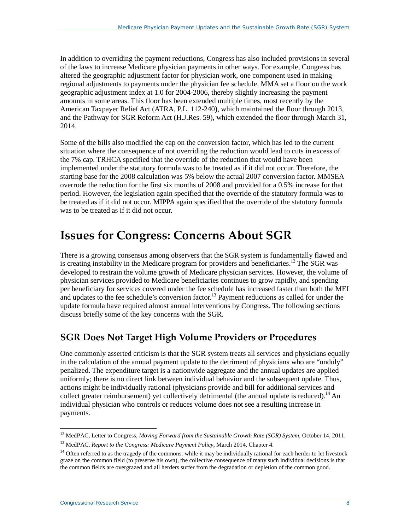In addition to overriding the payment reductions, Congress has also included provisions in several of the laws to increase Medicare physician payments in other ways. For example, Congress has altered the geographic adjustment factor for physician work, one component used in making regional adjustments to payments under the physician fee schedule. MMA set a floor on the work geographic adjustment index at 1.0 for 2004-2006, thereby slightly increasing the payment amounts in some areas. This floor has been extended multiple times, most recently by the American Taxpayer Relief Act (ATRA, [P.L. 112-240\)](http://www.congress.gov/cgi-lis/bdquery/R?d112:FLD002:@1(112+240)), which maintained the floor through 2013, and the Pathway for SGR Reform Act [\(H.J.Res. 59\)](http://www.congress.gov/cgi-lis/bdquery/z?d113:H.J.Res.59:), which extended the floor through March 31, 2014.

Some of the bills also modified the cap on the conversion factor, which has led to the current situation where the consequence of not overriding the reduction would lead to cuts in excess of the 7% cap. TRHCA specified that the override of the reduction that would have been implemented under the statutory formula was to be treated as if it did not occur. Therefore, the starting base for the 2008 calculation was 5% below the actual 2007 conversion factor. MMSEA overrode the reduction for the first six months of 2008 and provided for a 0.5% increase for that period. However, the legislation again specified that the override of the statutory formula was to be treated as if it did not occur. MIPPA again specified that the override of the statutory formula was to be treated as if it did not occur.

## <span id="page-10-0"></span>**Issues for Congress: Concerns About SGR**

There is a growing consensus among observers that the SGR system is fundamentally flawed and is creating instability in the Medicare program for providers and beneficiaries.<sup>12</sup> The SGR was developed to restrain the volume growth of Medicare physician services. However, the volume of physician services provided to Medicare beneficiaries continues to grow rapidly, and spending per beneficiary for services covered under the fee schedule has increased faster than both the MEI and updates to the fee schedule's conversion factor.<sup>13</sup> Payment reductions as called for under the update formula have required almost annual interventions by Congress. The following sections discuss briefly some of the key concerns with the SGR.

### <span id="page-10-1"></span>**SGR Does Not Target High Volume Providers or Procedures**

One commonly asserted criticism is that the SGR system treats all services and physicians equally in the calculation of the annual payment update to the detriment of physicians who are "unduly" penalized. The expenditure target is a nationwide aggregate and the annual updates are applied uniformly; there is no direct link between individual behavior and the subsequent update. Thus, actions might be individually rational (physicians provide and bill for additional services and collect greater reimbursement) yet collectively detrimental (the annual update is reduced).<sup>14</sup> An individual physician who controls or reduces volume does not see a resulting increase in payments.

<sup>12</sup> MedPAC, Letter to Congress, *Moving Forward from the Sustainable Growth Rate (SGR) System*, October 14, 2011.  $\overline{a}$ 

<sup>13</sup> MedPAC, *Report to the Congress: Medicare Payment Policy*, March 2014, Chapter 4.

<sup>&</sup>lt;sup>14</sup> Often referred to as the tragedy of the commons: while it may be individually rational for each herder to let livestock graze on the common field (to preserve his own), the collective consequence of many such individual decisions is that the common fields are overgrazed and all herders suffer from the degradation or depletion of the common good.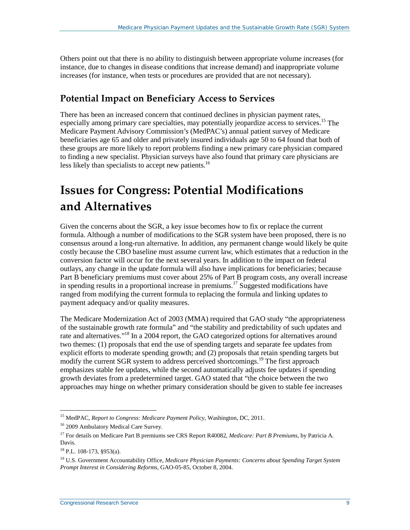Others point out that there is no ability to distinguish between appropriate volume increases (for instance, due to changes in disease conditions that increase demand) and inappropriate volume increases (for instance, when tests or procedures are provided that are not necessary).

## <span id="page-11-0"></span>**Potential Impact on Beneficiary Access to Services**

There has been an increased concern that continued declines in physician payment rates, especially among primary care specialties, may potentially jeopardize access to services.<sup>15</sup> The Medicare Payment Advisory Commission's (MedPAC's) annual patient survey of Medicare beneficiaries age 65 and older and privately insured individuals age 50 to 64 found that both of these groups are more likely to report problems finding a new primary care physician compared to finding a new specialist. Physician surveys have also found that primary care physicians are less likely than specialists to accept new patients.<sup>16</sup>

## <span id="page-11-1"></span>**Issues for Congress: Potential Modifications and Alternatives**

Given the concerns about the SGR, a key issue becomes how to fix or replace the current formula. Although a number of modifications to the SGR system have been proposed, there is no consensus around a long-run alternative. In addition, any permanent change would likely be quite costly because the CBO baseline must assume current law, which estimates that a reduction in the conversion factor will occur for the next several years. In addition to the impact on federal outlays, any change in the update formula will also have implications for beneficiaries; because Part B beneficiary premiums must cover about 25% of Part B program costs, any overall increase in spending results in a proportional increase in premiums.<sup>17</sup> Suggested modifications have ranged from modifying the current formula to replacing the formula and linking updates to payment adequacy and/or quality measures.

The Medicare Modernization Act of 2003 (MMA) required that GAO study "the appropriateness of the sustainable growth rate formula" and "the stability and predictability of such updates and rate and alternatives."18 In a 2004 report, the GAO categorized options for alternatives around two themes: (1) proposals that end the use of spending targets and separate fee updates from explicit efforts to moderate spending growth; and (2) proposals that retain spending targets but modify the current SGR system to address perceived shortcomings.<sup>19</sup> The first approach emphasizes stable fee updates, while the second automatically adjusts fee updates if spending growth deviates from a predetermined target. GAO stated that "the choice between the two approaches may hinge on whether primary consideration should be given to stable fee increases

<sup>15</sup> MedPAC, *Report to Congress: Medicare Payment Policy*, Washington, DC, 2011.  $\overline{a}$ 

<sup>16</sup> 2009 Ambulatory Medical Care Survey.

<sup>17</sup> For details on Medicare Part B premiums see CRS Report R40082, *[Medicare: Part B Premiums](http://www.crs.gov/pages/Reports.aspx?PRODCODE=R40082)*, by Patricia A. Davis.

<sup>18</sup> [P.L. 108-173,](http://www.congress.gov/cgi-lis/bdquery/R?d108:FLD002:@1(108+173)) §953(a).

<sup>19</sup> U.S. Government Accountability Office, *Medicare Physician Payments: Concerns about Spending Target System Prompt Interest in Considering Reforms*, GAO-05-85, October 8, 2004.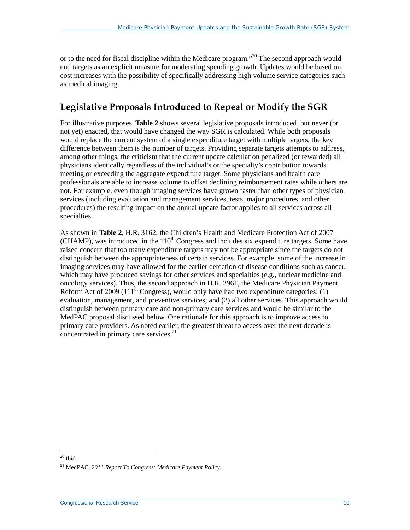or to the need for fiscal discipline within the Medicare program."<sup>20</sup> The second approach would end targets as an explicit measure for moderating spending growth. Updates would be based on cost increases with the possibility of specifically addressing high volume service categories such as medical imaging.

## <span id="page-12-0"></span>**Legislative Proposals Introduced to Repeal or Modify the SGR**

For illustrative purposes, **[Table 2](#page-13-0)** shows several legislative proposals introduced, but never (or not yet) enacted, that would have changed the way SGR is calculated. While both proposals would replace the current system of a single expenditure target with multiple targets, the key difference between them is the number of targets. Providing separate targets attempts to address, among other things, the criticism that the current update calculation penalized (or rewarded) all physicians identically regardless of the individual's or the specialty's contribution towards meeting or exceeding the aggregate expenditure target. Some physicians and health care professionals are able to increase volume to offset declining reimbursement rates while others are not. For example, even though imaging services have grown faster than other types of physician services (including evaluation and management services, tests, major procedures, and other procedures) the resulting impact on the annual update factor applies to all services across all specialties.

As shown in **[Table 2](#page-13-0)**, [H.R. 3162,](http://www.congress.gov/cgi-lis/bdquery/z?d110:H.R.3162:) the Children's Health and Medicare Protection Act of 2007 (CHAMP), was introduced in the  $110<sup>th</sup>$  Congress and includes six expenditure targets. Some have raised concern that too many expenditure targets may not be appropriate since the targets do not distinguish between the appropriateness of certain services. For example, some of the increase in imaging services may have allowed for the earlier detection of disease conditions such as cancer, which may have produced savings for other services and specialties (e.g., nuclear medicine and oncology services). Thus, the second approach in [H.R. 3961,](http://www.congress.gov/cgi-lis/bdquery/z?d111:H.R.3961:) the Medicare Physician Payment Reform Act of 2009 (111<sup>th</sup> Congress), would only have had two expenditure categories: (1) evaluation, management, and preventive services; and (2) all other services. This approach would distinguish between primary care and non-primary care services and would be similar to the MedPAC proposal discussed below. One rationale for this approach is to improve access to primary care providers. As noted earlier, the greatest threat to access over the next decade is concentrated in primary care services.<sup>21</sup>

 $20$  Ibid.

<sup>21</sup> MedPAC, *2011 Report To Congress: Medicare Payment Policy*.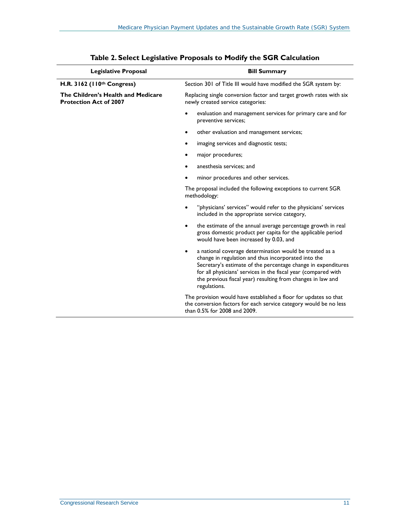<span id="page-13-0"></span>

| <b>Legislative Proposal</b>                                         | <b>Bill Summary</b>                                                                                                                                                                                                                                                                                                                   |
|---------------------------------------------------------------------|---------------------------------------------------------------------------------------------------------------------------------------------------------------------------------------------------------------------------------------------------------------------------------------------------------------------------------------|
| H.R. 3162 ( $110th Congress$ )                                      | Section 301 of Title III would have modified the SGR system by:                                                                                                                                                                                                                                                                       |
| The Children's Health and Medicare<br><b>Protection Act of 2007</b> | Replacing single conversion factor and target growth rates with six<br>newly created service categories:                                                                                                                                                                                                                              |
|                                                                     | evaluation and management services for primary care and for<br>preventive services;                                                                                                                                                                                                                                                   |
|                                                                     | other evaluation and management services;                                                                                                                                                                                                                                                                                             |
|                                                                     | imaging services and diagnostic tests;                                                                                                                                                                                                                                                                                                |
|                                                                     | major procedures;                                                                                                                                                                                                                                                                                                                     |
|                                                                     | anesthesia services; and                                                                                                                                                                                                                                                                                                              |
|                                                                     | minor procedures and other services.                                                                                                                                                                                                                                                                                                  |
|                                                                     | The proposal included the following exceptions to current SGR<br>methodology:                                                                                                                                                                                                                                                         |
|                                                                     | "physicians' services" would refer to the physicians' services<br>included in the appropriate service category,                                                                                                                                                                                                                       |
|                                                                     | the estimate of the annual average percentage growth in real<br>$\bullet$<br>gross domestic product per capita for the applicable period<br>would have been increased by 0.03, and                                                                                                                                                    |
|                                                                     | a national coverage determination would be treated as a<br>٠<br>change in regulation and thus incorporated into the<br>Secretary's estimate of the percentage change in expenditures<br>for all physicians' services in the fiscal year (compared with<br>the previous fiscal year) resulting from changes in law and<br>regulations. |
|                                                                     | The provision would have established a floor for updates so that<br>the conversion factors for each service category would be no less<br>than 0.5% for 2008 and 2009.                                                                                                                                                                 |

| Table 2. Select Legislative Proposals to Modify the SGR Calculation |
|---------------------------------------------------------------------|
|---------------------------------------------------------------------|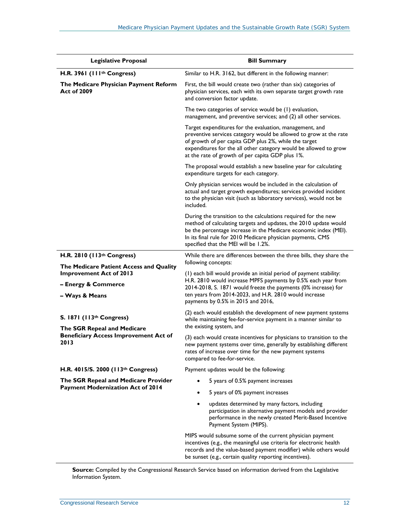| <b>Legislative Proposal</b>                                                                                     | <b>Bill Summary</b>                                                                                                                                                                                                                                                                                           |  |  |  |
|-----------------------------------------------------------------------------------------------------------------|---------------------------------------------------------------------------------------------------------------------------------------------------------------------------------------------------------------------------------------------------------------------------------------------------------------|--|--|--|
| H.R. 3961 (111 <sup>th</sup> Congress)                                                                          | Similar to H.R. 3162, but different in the following manner:                                                                                                                                                                                                                                                  |  |  |  |
| The Medicare Physician Payment Reform<br><b>Act of 2009</b>                                                     | First, the bill would create two (rather than six) categories of<br>physician services, each with its own separate target growth rate<br>and conversion factor update.                                                                                                                                        |  |  |  |
|                                                                                                                 | The two categories of service would be (1) evaluation,<br>management, and preventive services; and (2) all other services.                                                                                                                                                                                    |  |  |  |
|                                                                                                                 | Target expenditures for the evaluation, management, and<br>preventive services category would be allowed to grow at the rate<br>of growth of per capita GDP plus 2%, while the target<br>expenditures for the all other category would be allowed to grow<br>at the rate of growth of per capita GDP plus 1%. |  |  |  |
|                                                                                                                 | The proposal would establish a new baseline year for calculating<br>expenditure targets for each category.                                                                                                                                                                                                    |  |  |  |
|                                                                                                                 | Only physician services would be included in the calculation of<br>actual and target growth expenditures; services provided incident<br>to the physician visit (such as laboratory services), would not be<br>included.                                                                                       |  |  |  |
|                                                                                                                 | During the transition to the calculations required for the new<br>method of calculating targets and updates, the 2010 update would<br>be the percentage increase in the Medicare economic index (MEI).<br>In its final rule for 2010 Medicare physician payments, CMS<br>specified that the MEI will be 1.2%. |  |  |  |
| H.R. 2810 (113th Congress)                                                                                      | While there are differences between the three bills, they share the                                                                                                                                                                                                                                           |  |  |  |
| The Medicare Patient Access and Quality                                                                         | following concepts:                                                                                                                                                                                                                                                                                           |  |  |  |
| <b>Improvement Act of 2013</b>                                                                                  | (I) each bill would provide an initial period of payment stability:<br>H.R. 2810 would increase MPFS payments by 0.5% each year from                                                                                                                                                                          |  |  |  |
| - Energy & Commerce<br>- Ways & Means                                                                           | 2014-2018, S. 1871 would freeze the payments (0% increase) for<br>ten years from 2014-2023, and H.R. 2810 would increase<br>payments by 0.5% in 2015 and 2016,                                                                                                                                                |  |  |  |
| S. 1871 (113th Congress)<br>The SGR Repeal and Medicare<br><b>Beneficiary Access Improvement Act of</b><br>2013 | (2) each would establish the development of new payment systems<br>while maintaining fee-for-service payment in a manner similar to<br>the existing system, and                                                                                                                                               |  |  |  |
|                                                                                                                 | (3) each would create incentives for physicians to transition to the<br>new payment systems over time, generally by establishing different<br>rates of increase over time for the new payment systems<br>compared to fee-for-service.                                                                         |  |  |  |
| H.R. 4015/S. 2000 (113th Congress)                                                                              | Payment updates would be the following:                                                                                                                                                                                                                                                                       |  |  |  |
| The SGR Repeal and Medicare Provider                                                                            | 5 years of 0.5% payment increases                                                                                                                                                                                                                                                                             |  |  |  |
| <b>Payment Modernization Act of 2014</b>                                                                        | 5 years of 0% payment increases                                                                                                                                                                                                                                                                               |  |  |  |
|                                                                                                                 | updates determined by many factors, including<br>٠<br>participation in alternative payment models and provider<br>performance in the newly created Merit-Based Incentive<br>Payment System (MIPS).                                                                                                            |  |  |  |
|                                                                                                                 | MIPS would subsume some of the current physician payment<br>incentives (e.g., the meaningful use criteria for electronic health<br>records and the value-based payment modifier) while others would<br>be sunset (e.g., certain quality reporting incentives).                                                |  |  |  |

**Source:** Compiled by the Congressional Research Service based on information derived from the Legislative Information System.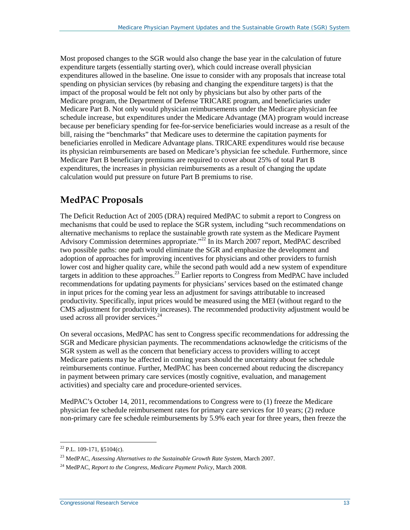Most proposed changes to the SGR would also change the base year in the calculation of future expenditure targets (essentially starting over), which could increase overall physician expenditures allowed in the baseline. One issue to consider with any proposals that increase total spending on physician services (by rebasing and changing the expenditure targets) is that the impact of the proposal would be felt not only by physicians but also by other parts of the Medicare program, the Department of Defense TRICARE program, and beneficiaries under Medicare Part B. Not only would physician reimbursements under the Medicare physician fee schedule increase, but expenditures under the Medicare Advantage (MA) program would increase because per beneficiary spending for fee-for-service beneficiaries would increase as a result of the bill, raising the "benchmarks" that Medicare uses to determine the capitation payments for beneficiaries enrolled in Medicare Advantage plans. TRICARE expenditures would rise because its physician reimbursements are based on Medicare's physician fee schedule. Furthermore, since Medicare Part B beneficiary premiums are required to cover about 25% of total Part B expenditures, the increases in physician reimbursements as a result of changing the update calculation would put pressure on future Part B premiums to rise.

## <span id="page-15-0"></span>**MedPAC Proposals**

The Deficit Reduction Act of 2005 (DRA) required MedPAC to submit a report to Congress on mechanisms that could be used to replace the SGR system, including "such recommendations on alternative mechanisms to replace the sustainable growth rate system as the Medicare Payment Advisory Commission determines appropriate."<sup>22</sup> In its March 2007 report, MedPAC described two possible paths: one path would eliminate the SGR and emphasize the development and adoption of approaches for improving incentives for physicians and other providers to furnish lower cost and higher quality care, while the second path would add a new system of expenditure targets in addition to these approaches.<sup>23</sup> Earlier reports to Congress from MedPAC have included recommendations for updating payments for physicians' services based on the estimated change in input prices for the coming year less an adjustment for savings attributable to increased productivity. Specifically, input prices would be measured using the MEI (without regard to the CMS adjustment for productivity increases). The recommended productivity adjustment would be used across all provider services.<sup>24</sup>

On several occasions, MedPAC has sent to Congress specific recommendations for addressing the SGR and Medicare physician payments. The recommendations acknowledge the criticisms of the SGR system as well as the concern that beneficiary access to providers willing to accept Medicare patients may be affected in coming years should the uncertainty about fee schedule reimbursements continue. Further, MedPAC has been concerned about reducing the discrepancy in payment between primary care services (mostly cognitive, evaluation, and management activities) and specialty care and procedure-oriented services.

MedPAC's October 14, 2011, recommendations to Congress were to (1) freeze the Medicare physician fee schedule reimbursement rates for primary care services for 10 years; (2) reduce non-primary care fee schedule reimbursements by 5.9% each year for three years, then freeze the

 $22$  [P.L. 109-171,](http://www.congress.gov/cgi-lis/bdquery/R?d109:FLD002:@1(109+171)) §5104(c).  $\overline{a}$ 

<sup>23</sup> MedPAC, *Assessing Alternatives to the Sustainable Growth Rate System*, March 2007.

<sup>24</sup> MedPAC, *Report to the Congress, Medicare Payment Policy*, March 2008.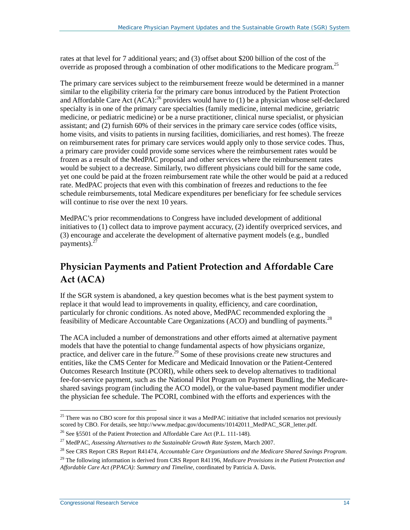rates at that level for 7 additional years; and (3) offset about \$200 billion of the cost of the override as proposed through a combination of other modifications to the Medicare program.<sup>25</sup>

The primary care services subject to the reimbursement freeze would be determined in a manner similar to the eligibility criteria for the primary care bonus introduced by the Patient Protection and Affordable Care Act  $(ACA)$ :<sup>26</sup> providers would have to (1) be a physician whose self-declared specialty is in one of the primary care specialties (family medicine, internal medicine, geriatric medicine, or pediatric medicine) or be a nurse practitioner, clinical nurse specialist, or physician assistant; and (2) furnish 60% of their services in the primary care service codes (office visits, home visits, and visits to patients in nursing facilities, domiciliaries, and rest homes). The freeze on reimbursement rates for primary care services would apply only to those service codes. Thus, a primary care provider could provide some services where the reimbursement rates would be frozen as a result of the MedPAC proposal and other services where the reimbursement rates would be subject to a decrease. Similarly, two different physicians could bill for the same code, yet one could be paid at the frozen reimbursement rate while the other would be paid at a reduced rate. MedPAC projects that even with this combination of freezes and reductions to the fee schedule reimbursements, total Medicare expenditures per beneficiary for fee schedule services will continue to rise over the next 10 years.

MedPAC's prior recommendations to Congress have included development of additional initiatives to (1) collect data to improve payment accuracy, (2) identify overpriced services, and (3) encourage and accelerate the development of alternative payment models (e.g., bundled payments). $27$ 

## <span id="page-16-0"></span>**Physician Payments and Patient Protection and Affordable Care Act (ACA)**

If the SGR system is abandoned, a key question becomes what is the best payment system to replace it that would lead to improvements in quality, efficiency, and care coordination, particularly for chronic conditions. As noted above, MedPAC recommended exploring the feasibility of Medicare Accountable Care Organizations (ACO) and bundling of payments.<sup>28</sup>

The ACA included a number of demonstrations and other efforts aimed at alternative payment models that have the potential to change fundamental aspects of how physicians organize, practice, and deliver care in the future.<sup>29</sup> Some of these provisions create new structures and entities, like the CMS Center for Medicare and Medicaid Innovation or the Patient-Centered Outcomes Research Institute (PCORI), while others seek to develop alternatives to traditional fee-for-service payment, such as the National Pilot Program on Payment Bundling, the Medicareshared savings program (including the ACO model), or the value-based payment modifier under the physician fee schedule. The PCORI, combined with the efforts and experiences with the

<sup>&</sup>lt;sup>25</sup> There was no CBO score for this proposal since it was a MedPAC initiative that included scenarios not previously scored by CBO. For details, se[e http://www.medpac.gov/documents/10142011\\_MedPAC\\_SGR\\_letter.pdf.](http://www.medpac.gov/documents/10142011_MedPAC_SGR_letter.pdf)  $\overline{a}$ 

<sup>&</sup>lt;sup>26</sup> See §5501 of the Patient Protection and Affordable Care Act [\(P.L. 111-148\)](http://www.congress.gov/cgi-lis/bdquery/R?d111:FLD002:@1(111+148)).

<sup>27</sup> MedPAC, *Assessing Alternatives to the Sustainable Growth Rate System*, March 2007.

<sup>28</sup> See CRS Report CRS Report R41474, *[Accountable Care Organizations and the Medicare Shared Savings Program](http://www.crs.gov/pages/Reports.aspx?PRODCODE=R41474)*.

<sup>29</sup> The following information is derived from CRS Report R41196, *[Medicare Provisions in the Patient Protection and](http://www.crs.gov/pages/Reports.aspx?PRODCODE=R41196)  [Affordable Care Act \(PPACA\): Summary and Timeline](http://www.crs.gov/pages/Reports.aspx?PRODCODE=R41196)*, coordinated by Patricia A. Davis.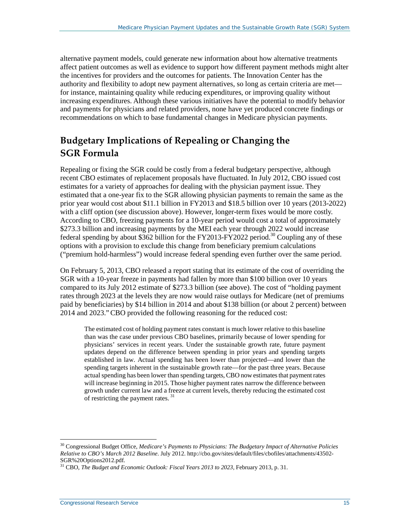alternative payment models, could generate new information about how alternative treatments affect patient outcomes as well as evidence to support how different payment methods might alter the incentives for providers and the outcomes for patients. The Innovation Center has the authority and flexibility to adopt new payment alternatives, so long as certain criteria are met for instance, maintaining quality while reducing expenditures, or improving quality without increasing expenditures. Although these various initiatives have the potential to modify behavior and payments for physicians and related providers, none have yet produced concrete findings or recommendations on which to base fundamental changes in Medicare physician payments.

## <span id="page-17-0"></span>**Budgetary Implications of Repealing or Changing the SGR Formula**

Repealing or fixing the SGR could be costly from a federal budgetary perspective, although recent CBO estimates of replacement proposals have fluctuated. In July 2012, CBO issued cost estimates for a variety of approaches for dealing with the physician payment issue. They estimated that a one-year fix to the SGR allowing physician payments to remain the same as the prior year would cost about \$11.1 billion in FY2013 and \$18.5 billion over 10 years (2013-2022) with a cliff option (see discussion above). However, longer-term fixes would be more costly. According to CBO, freezing payments for a 10-year period would cost a total of approximately \$273.3 billion and increasing payments by the MEI each year through 2022 would increase federal spending by about \$362 billion for the FY2013-FY2022 period.<sup>30</sup> Coupling any of these options with a provision to exclude this change from beneficiary premium calculations ("premium hold-harmless") would increase federal spending even further over the same period.

On February 5, 2013, CBO released a report stating that its estimate of the cost of overriding the SGR with a 10-year freeze in payments had fallen by more than \$100 billion over 10 years compared to its July 2012 estimate of \$273.3 billion (see above). The cost of "holding payment rates through 2023 at the levels they are now would raise outlays for Medicare (net of premiums paid by beneficiaries) by \$14 billion in 2014 and about \$138 billion (or about 2 percent) between 2014 and 2023."CBO provided the following reasoning for the reduced cost:

The estimated cost of holding payment rates constant is much lower relative to this baseline than was the case under previous CBO baselines, primarily because of lower spending for physicians' services in recent years. Under the sustainable growth rate, future payment updates depend on the difference between spending in prior years and spending targets established in law. Actual spending has been lower than projected—and lower than the spending targets inherent in the sustainable growth rate—for the past three years. Because actual spending has been lower than spending targets, CBO now estimates that payment rates will increase beginning in 2015. Those higher payment rates narrow the difference between growth under current law and a freeze at current levels, thereby reducing the estimated cost of restricting the payment rates. <sup>31</sup>

<sup>30</sup> Congressional Budget Office, *Medicare's Payments to Physicians: The Budgetary Impact of Alternative Policies Relative to CBO's March 2012 Baseline*. July 2012[. http://cbo.gov/sites/default/files/cbofiles/attachments/43502-](http://cbo.gov/sites/default/files/cbofiles/attachments/43502-SGR%20Options2012.pdf) [SGR%20Options2012.pdf.](http://cbo.gov/sites/default/files/cbofiles/attachments/43502-SGR%20Options2012.pdf) <sup>31</sup> CBO, *The Budget and Economic Outlook: Fiscal Years 2013 to 2023,* February 2013, p. 31.  $\overline{a}$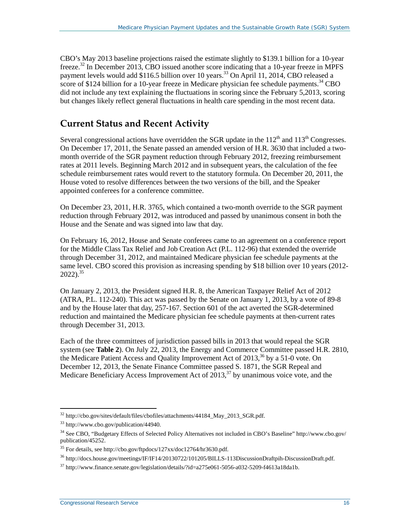CBO's May 2013 baseline projections raised the estimate slightly to \$139.1 billion for a 10-year freeze.<sup>32</sup> In December 2013, CBO issued another score indicating that a 10-year freeze in MPFS payment levels would add \$116.5 billion over 10 years.<sup>33</sup> On April 11, 2014, CBO released a score of \$124 billion for a 10-year freeze in Medicare physician fee schedule payments.<sup>34</sup> CBO did not include any text explaining the fluctuations in scoring since the February 5,2013, scoring but changes likely reflect general fluctuations in health care spending in the most recent data.

### <span id="page-18-0"></span>**Current Status and Recent Activity**

Several congressional actions have overridden the SGR update in the  $112<sup>th</sup>$  and  $113<sup>th</sup>$  Congresses. On December 17, 2011, the Senate passed an amended version o[f H.R. 3630](http://www.congress.gov/cgi-lis/bdquery/z?d112:H.R.3630:) that included a twomonth override of the SGR payment reduction through February 2012, freezing reimbursement rates at 2011 levels. Beginning March 2012 and in subsequent years, the calculation of the fee schedule reimbursement rates would revert to the statutory formula. On December 20, 2011, the House voted to resolve differences between the two versions of the bill, and the Speaker appointed conferees for a conference committee.

On December 23, 2011[, H.R. 3765,](http://www.congress.gov/cgi-lis/bdquery/z?d112:H.R.3765:) which contained a two-month override to the SGR payment reduction through February 2012, was introduced and passed by unanimous consent in both the House and the Senate and was signed into law that day.

On February 16, 2012, House and Senate conferees came to an agreement on a conference report for the Middle Class Tax Relief and Job Creation Act [\(P.L. 112-96\)](http://www.congress.gov/cgi-lis/bdquery/R?d112:FLD002:@1(112+96)) that extended the override through December 31, 2012, and maintained Medicare physician fee schedule payments at the same level. CBO scored this provision as increasing spending by \$18 billion over 10 years (2012-  $2022$ ).<sup>35</sup>

On January 2, 2013, the President signed [H.R. 8,](http://www.congress.gov/cgi-lis/bdquery/z?d112:H.R.8:) the American Taxpayer Relief Act of 2012 (ATRA, [P.L. 112-240\)](http://www.congress.gov/cgi-lis/bdquery/R?d112:FLD002:@1(112+240)). This act was passed by the Senate on January 1, 2013, by a vote of 89-8 and by the House later that day, 257-167. Section 601 of the act averted the SGR-determined reduction and maintained the Medicare physician fee schedule payments at then-current rates through December 31, 2013.

Each of the three committees of jurisdiction passed bills in 2013 that would repeal the SGR system (see **[Table 2](#page-13-0)**). On July 22, 2013, the Energy and Commerce Committee passed [H.R. 2810,](http://www.congress.gov/cgi-lis/bdquery/z?d113:H.R.2810:) the Medicare Patient Access and Quality Improvement Act of 2013, <sup>36</sup> by a 51-0 vote. On December 12, 2013, the Senate Finance Committee passed [S. 1871,](http://www.congress.gov/cgi-lis/bdquery/z?d113:S.1871:) the SGR Repeal and Medicare Beneficiary Access Improvement Act of  $2013$ ,<sup>37</sup> by unanimous voice vote, and the

<sup>&</sup>lt;sup>32</sup> [http://cbo.gov/sites/default/files/cbofiles/attachments/44184\\_May\\_2013\\_SGR.pdf.](http://cbo.gov/sites/default/files/cbofiles/attachments/44184_May_2013_SGR.pdf)  $\overline{a}$ 

<sup>33</sup> [http://www.cbo.gov/publication/44940.](http://www.cbo.gov/publication/44940)

<sup>34</sup> See CBO, "Budgetary Effects of Selected Policy Alternatives not included in CBO's Baseline[" http://www.cbo.gov/](http://www.cbo.gov/publication/45252) [publication/45252.](http://www.cbo.gov/publication/45252)

<sup>35</sup> For details, se[e http://cbo.gov/ftpdocs/127xx/doc12764/hr3630.pdf.](http://cbo.gov/ftpdocs/127xx/doc12764/hr3630.pdf)

<sup>36</sup> [http://docs.house.gov/meetings/IF/IF14/20130722/101205/BILLS-113DiscussionDraftpih-DiscussionDraft.pdf.](http://docs.house.gov/meetings/IF/IF14/20130722/101205/BILLS-113DiscussionDraftpih-DiscussionDraft.pdf)

 $37$  [http://www.finance.senate.gov/legislation/details/?id=a275e061-5056-a032-5209-f4613a18da1b.](http://www.finance.senate.gov/legislation/details/?id=a275e061-5056-a032-5209-f4613a18da1b)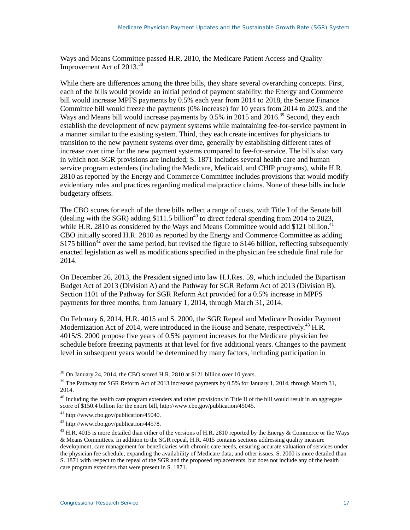Ways and Means Committee passed [H.R. 2810,](http://www.congress.gov/cgi-lis/bdquery/z?d113:H.R.2810:) the Medicare Patient Access and Quality Improvement Act of 2013.38

While there are differences among the three bills, they share several overarching concepts. First, each of the bills would provide an initial period of payment stability: the Energy and Commerce bill would increase MPFS payments by 0.5% each year from 2014 to 2018, the Senate Finance Committee bill would freeze the payments (0% increase) for 10 years from 2014 to 2023, and the Ways and Means bill would increase payments by 0.5% in 2015 and 2016.<sup>39</sup> Second, they each establish the development of new payment systems while maintaining fee-for-service payment in a manner similar to the existing system. Third, they each create incentives for physicians to transition to the new payment systems over time, generally by establishing different rates of increase over time for the new payment systems compared to fee-for-service. The bills also vary in which non-SGR provisions are included; [S. 1871](http://www.congress.gov/cgi-lis/bdquery/z?d113:S.1871:) includes several health care and human service program extenders (including the Medicare, Medicaid, and CHIP programs), while [H.R.](http://www.congress.gov/cgi-lis/bdquery/z?d113:H.R.2810:)  [2810](http://www.congress.gov/cgi-lis/bdquery/z?d113:H.R.2810:) as reported by the Energy and Commerce Committee includes provisions that would modify evidentiary rules and practices regarding medical malpractice claims. None of these bills include budgetary offsets.

The CBO scores for each of the three bills reflect a range of costs, with Title I of the Senate bill (dealing with the SGR) adding  $$111.5$  billion<sup>40</sup> to direct federal spending from 2014 to 2023, while [H.R. 2810](http://www.congress.gov/cgi-lis/bdquery/z?d113:H.R.2810:) as considered by the Ways and Means Committee would add \$121 billion.<sup>41</sup> CBO initially scored [H.R. 2810](http://www.congress.gov/cgi-lis/bdquery/z?d113:H.R.2810:) as reported by the Energy and Commerce Committee as adding \$175 billion<sup> $42$ </sup> over the same period, but revised the figure to \$146 billion, reflecting subsequently enacted legislation as well as modifications specified in the physician fee schedule final rule for 2014.

On December 26, 2013, the President signed into law [H.J.Res. 59,](http://www.congress.gov/cgi-lis/bdquery/z?d113:H.J.Res.59:) which included the Bipartisan Budget Act of 2013 (Division A) and the Pathway for SGR Reform Act of 2013 (Division B). Section 1101 of the Pathway for SGR Reform Act provided for a 0.5% increase in MPFS payments for three months, from January 1, 2014, through March 31, 2014.

On February 6, 2014, [H.R. 4015](http://www.congress.gov/cgi-lis/bdquery/z?d113:H.R.4015:) and [S. 2000,](http://www.congress.gov/cgi-lis/bdquery/z?d113:S.2000:) the SGR Repeal and Medicare Provider Payment Modernization Act of 2014, were introduced in the House and Senate, respectively.<sup>43</sup> H.R. [4015](http://www.congress.gov/cgi-lis/bdquery/z?d113:H.R.4015:)[/S. 2000](http://www.congress.gov/cgi-lis/bdquery/z?d113:S.2000:) propose five years of 0.5% payment increases for the Medicare physician fee schedule before freezing payments at that level for five additional years. Changes to the payment level in subsequent years would be determined by many factors, including participation in

 $38$  On January 24, 2014, the CBO score[d H.R. 2810](http://www.congress.gov/cgi-lis/bdquery/z?d113:H.R.2810:) at \$121 billion over 10 years.

<sup>&</sup>lt;sup>39</sup> The Pathway for SGR Reform Act of 2013 increased payments by 0.5% for January 1, 2014, through March 31, 2014.

 $40$  Including the health care program extenders and other provisions in Title II of the bill would result in an aggregate score of \$150.4 billion for the entire bill, [http://www.cbo.gov/publication/45045.](http://www.cbo.gov/publication/45045)

<sup>41</sup> [http://www.cbo.gov/publication/45040.](http://www.cbo.gov/publication/45040)

<sup>42</sup> [http://www.cbo.gov/publication/44578.](http://www.cbo.gov/publication/44578)

<sup>&</sup>lt;sup>43</sup> [H.R. 4015](http://www.congress.gov/cgi-lis/bdquery/z?d113:H.R.4015:) is more detailed than either of the versions of [H.R. 2810](http://www.congress.gov/cgi-lis/bdquery/z?d113:H.R.2810:) reported by the Energy  $\&$  Commerce or the Ways & Means Committees. In addition to the SGR repeal[, H.R. 4015](http://www.congress.gov/cgi-lis/bdquery/z?d113:H.R.4015:) contains sections addressing quality measure development, care management for beneficiaries with chronic care needs, ensuring accurate valuation of services under the physician fee schedule, expanding the availability of Medicare data, and other issues[. S. 2000](http://www.congress.gov/cgi-lis/bdquery/z?d113:S.2000:) is more detailed than [S. 1871](http://www.congress.gov/cgi-lis/bdquery/z?d113:S.1871:) with respect to the repeal of the SGR and the proposed replacements, but does not include any of the health care program extenders that were present i[n S. 1871.](http://www.congress.gov/cgi-lis/bdquery/z?d113:S.1871:)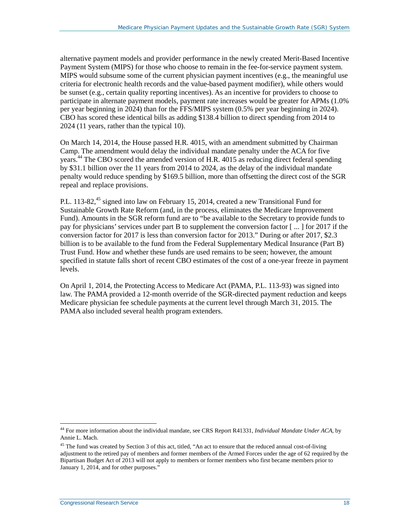alternative payment models and provider performance in the newly created Merit-Based Incentive Payment System (MIPS) for those who choose to remain in the fee-for-service payment system. MIPS would subsume some of the current physician payment incentives (e.g., the meaningful use criteria for electronic health records and the value-based payment modifier), while others would be sunset (e.g., certain quality reporting incentives). As an incentive for providers to choose to participate in alternate payment models, payment rate increases would be greater for APMs (1.0% per year beginning in 2024) than for the FFS/MIPS system (0.5% per year beginning in 2024). CBO has scored these identical bills as adding \$138.4 billion to direct spending from 2014 to 2024 (11 years, rather than the typical 10).

On March 14, 2014, the House passed [H.R. 4015,](http://www.congress.gov/cgi-lis/bdquery/z?d113:H.R.4015:) with an amendment submitted by Chairman Camp. The amendment would delay the individual mandate penalty under the ACA for five years.44 The CBO scored the amended version of [H.R. 4015](http://www.congress.gov/cgi-lis/bdquery/z?d113:H.R.4015:) as reducing direct federal spending by \$31.1 billion over the 11 years from 2014 to 2024, as the delay of the individual mandate penalty would reduce spending by \$169.5 billion, more than offsetting the direct cost of the SGR repeal and replace provisions.

[P.L. 113-82,](http://www.congress.gov/cgi-lis/bdquery/R?d113:FLD002:@1(113+82))<sup>45</sup> signed into law on February 15, 2014, created a new Transitional Fund for Sustainable Growth Rate Reform (and, in the process, eliminates the Medicare Improvement Fund). Amounts in the SGR reform fund are to "be available to the Secretary to provide funds to pay for physicians' services under part B to supplement the conversion factor [ ... ] for 2017 if the conversion factor for 2017 is less than conversion factor for 2013." During or after 2017, \$2.3 billion is to be available to the fund from the Federal Supplementary Medical Insurance (Part B) Trust Fund. How and whether these funds are used remains to be seen; however, the amount specified in statute falls short of recent CBO estimates of the cost of a one-year freeze in payment levels.

On April 1, 2014, the Protecting Access to Medicare Act (PAMA, [P.L. 113-93\)](http://www.congress.gov/cgi-lis/bdquery/R?d113:FLD002:@1(113+93)) was signed into law. The PAMA provided a 12-month override of the SGR-directed payment reduction and keeps Medicare physician fee schedule payments at the current level through March 31, 2015. The PAMA also included several health program extenders.

<sup>44</sup> For more information about the individual mandate, see CRS Report R41331, *[Individual Mandate Under ACA](http://www.crs.gov/pages/Reports.aspx?PRODCODE=R41331)*, by Annie L. Mach.

<sup>&</sup>lt;sup>45</sup> The fund was created by Section 3 of this act, titled, "An act to ensure that the reduced annual cost-of-living adjustment to the retired pay of members and former members of the Armed Forces under the age of 62 required by the Bipartisan Budget Act of 2013 will not apply to members or former members who first became members prior to January 1, 2014, and for other purposes."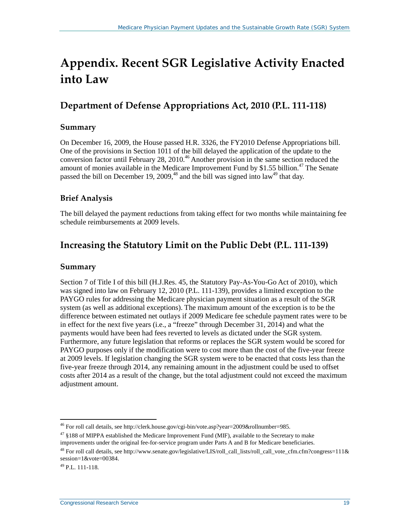## <span id="page-21-0"></span>**Appendix. Recent SGR Legislative Activity Enacted into Law**

## **Department of Defense Appropriations Act, 2010 [\(P.L. 111-118\)](http://www.congress.gov/cgi-lis/bdquery/R?d111:FLD002:@1(111+118))**

#### **Summary**

On December 16, 2009, the House passed [H.R. 3326,](http://www.congress.gov/cgi-lis/bdquery/z?d111:H.R.3326:) the FY2010 Defense Appropriations bill. One of the provisions in Section 1011 of the bill delayed the application of the update to the conversion factor until February 28, 2010.<sup>46</sup> Another provision in the same section reduced the amount of monies available in the Medicare Improvement Fund by \$1.55 billion.<sup>47</sup> The Senate passed the bill on December 19, 2009,<sup>48</sup> and the bill was signed into law<sup>49</sup> that day.

#### **Brief Analysis**

The bill delayed the payment reductions from taking effect for two months while maintaining fee schedule reimbursements at 2009 levels.

### **Increasing the Statutory Limit on the Public Debt [\(P.L. 111-139\)](http://www.congress.gov/cgi-lis/bdquery/R?d111:FLD002:@1(111+139))**

#### **Summary**

Section 7 of Title I of this bill [\(H.J.Res. 45,](http://www.congress.gov/cgi-lis/bdquery/z?d111:H.J.Res.45:) the Statutory Pay-As-You-Go Act of 2010), which was signed into law on February 12, 2010 [\(P.L. 111-139\)](http://www.congress.gov/cgi-lis/bdquery/R?d111:FLD002:@1(111+139)), provides a limited exception to the PAYGO rules for addressing the Medicare physician payment situation as a result of the SGR system (as well as additional exceptions). The maximum amount of the exception is to be the difference between estimated net outlays if 2009 Medicare fee schedule payment rates were to be in effect for the next five years (i.e., a "freeze" through December 31, 2014) and what the payments would have been had fees reverted to levels as dictated under the SGR system. Furthermore, any future legislation that reforms or replaces the SGR system would be scored for PAYGO purposes only if the modification were to cost more than the cost of the five-year freeze at 2009 levels. If legislation changing the SGR system were to be enacted that costs less than the five-year freeze through 2014, any remaining amount in the adjustment could be used to offset costs after 2014 as a result of the change, but the total adjustment could not exceed the maximum adjustment amount.

 $^{46}$  For roll call details, se[e http://clerk.house.gov/cgi-bin/vote.asp?year=2009&rollnumber=985.](http://clerk.house.gov/cgi-bin/vote.asp?year=2009&rollnumber=985)  $\overline{a}$ 

<sup>&</sup>lt;sup>47</sup> §188 of MIPPA established the Medicare Improvement Fund (MIF), available to the Secretary to make improvements under the original fee-for-service program under Parts A and B for Medicare beneficiaries.

 $^{48}$  For roll call details, see [http://www.senate.gov/legislative/LIS/roll\\_call\\_lists/roll\\_call\\_vote\\_cfm.cfm?congress=111&](http://www.senate.gov/legislative/LIS/roll_call_lists/roll_call_vote_cfm.cfm?congress=111&session=1&vote=00384) [session=1&vote=00384.](http://www.senate.gov/legislative/LIS/roll_call_lists/roll_call_vote_cfm.cfm?congress=111&session=1&vote=00384)

 $49$  [P.L. 111-118.](http://www.congress.gov/cgi-lis/bdquery/R?d111:FLD002:@1(111+118))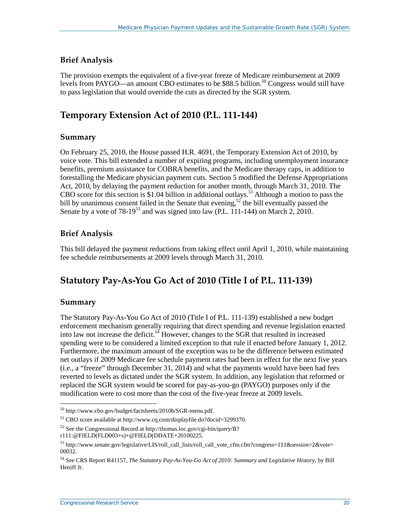#### **Brief Analysis**

The provision exempts the equivalent of a five-year freeze of Medicare reimbursement at 2009 levels from PAYGO—an amount CBO estimates to be \$88.5 billion.<sup>50</sup> Congress would still have to pass legislation that would override the cuts as directed by the SGR system.

## **Temporary Extension Act of 2010 [\(P.L. 111-144\)](http://www.congress.gov/cgi-lis/bdquery/R?d111:FLD002:@1(111+144))**

#### **Summary**

On February 25, 2010, the House passed [H.R. 4691,](http://www.congress.gov/cgi-lis/bdquery/z?d111:H.R.4691:) the Temporary Extension Act of 2010, by voice vote. This bill extended a number of expiring programs, including unemployment insurance benefits, premium assistance for COBRA benefits, and the Medicare therapy caps, in addition to forestalling the Medicare physician payment cuts. Section 5 modified the Defense Appropriations Act, 2010, by delaying the payment reduction for another month, through March 31, 2010. The CBO score for this section is \$1.04 billion in additional outlays.<sup>51</sup> Although a motion to pass the bill by unanimous consent failed in the Senate that evening,<sup>52</sup> the bill eventually passed the Senate by a vote of  $78-19^{53}$  and was signed into law [\(P.L. 111-144\)](http://www.congress.gov/cgi-lis/bdquery/R?d111:FLD002:@1(111+144)) on March 2, 2010.

#### **Brief Analysis**

This bill delayed the payment reductions from taking effect until April 1, 2010, while maintaining fee schedule reimbursements at 2009 levels through March 31, 2010.

### **Statutory Pay-As-You Go Act of 2010 (Title I of [P.L. 111-139\)](http://www.congress.gov/cgi-lis/bdquery/R?d111:FLD002:@1(111+139))**

#### **Summary**

 $\overline{a}$ 

The Statutory Pay-As-You Go Act of 2010 (Title I of [P.L. 111-139\)](http://www.congress.gov/cgi-lis/bdquery/R?d111:FLD002:@1(111+139)) established a new budget enforcement mechanism generally requiring that direct spending and revenue legislation enacted into law not increase the deficit.<sup>54</sup> However, changes to the SGR that resulted in increased spending were to be considered a limited exception to that rule if enacted before January 1, 2012. Furthermore, the maximum amount of the exception was to be the difference between estimated net outlays if 2009 Medicare fee schedule payment rates had been in effect for the next five years (i.e., a "freeze" through December 31, 2014) and what the payments would have been had fees reverted to levels as dictated under the SGR system. In addition, any legislation that reformed or replaced the SGR system would be scored for pay-as-you-go (PAYGO) purposes only if the modification were to cost more than the cost of the five-year freeze at 2009 levels.

<sup>50</sup> [http://www.cbo.gov/budget/factsheets/2010b/SGR-menu.pdf.](http://www.cbo.gov/budget/factsheets/2010b/SGR-menu.pdf)

<sup>51</sup> CBO score available a[t http://www.cq.com/displayfile.do?docid=3299370.](http://www.cq.com/displayfile.do?docid=3299370)

<sup>52</sup> See the Congressional Record a[t http://thomas.loc.gov/cgi-bin/query/B?](http://thomas.loc.gov/cgi-bin/query/B?r111:@FIELD)

[r111:@FIELD\(](http://thomas.loc.gov/cgi-bin/query/B?r111:@FIELD)FLD003+s)+@FIELD(DDATE+20100225.

 $53$  [http://www.senate.gov/legislative/LIS/roll\\_call\\_lists/roll\\_call\\_vote\\_cfm.cfm?congress=111&session=2&vote=](http://www.senate.gov/legislative/LIS/roll_call_lists/roll_call_vote_cfm.cfm?congress=111&session=2&vote=00032) [00032.](http://www.senate.gov/legislative/LIS/roll_call_lists/roll_call_vote_cfm.cfm?congress=111&session=2&vote=00032)

<sup>54</sup> See CRS Report R41157, *[The Statutory Pay-As-You-Go Act of 2010: Summary and Legislative History](http://www.crs.gov/pages/Reports.aspx?PRODCODE=R41157)*, by Bill Heniff Jr.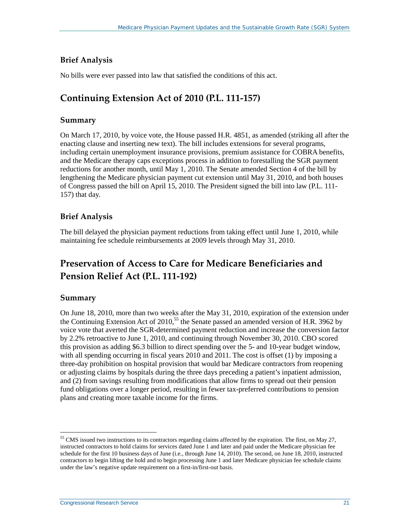#### **Brief Analysis**

No bills were ever passed into law that satisfied the conditions of this act.

## **Continuing Extension Act of 2010 [\(P.L. 111-157\)](http://www.congress.gov/cgi-lis/bdquery/R?d111:FLD002:@1(111+157))**

#### **Summary**

On March 17, 2010, by voice vote, the House passed [H.R. 4851,](http://www.congress.gov/cgi-lis/bdquery/z?d111:H.R.4851:) as amended (striking all after the enacting clause and inserting new text). The bill includes extensions for several programs, including certain unemployment insurance provisions, premium assistance for COBRA benefits, and the Medicare therapy caps exceptions process in addition to forestalling the SGR payment reductions for another month, until May 1, 2010. The Senate amended Section 4 of the bill by lengthening the Medicare physician payment cut extension until May 31, 2010, and both houses of Congress passed the bill on April 15, 2010. The President signed the bill into law [\(P.L. 111-](http://www.congress.gov/cgi-lis/bdquery/R?d111:FLD002:@1(111+157)) [157\)](http://www.congress.gov/cgi-lis/bdquery/R?d111:FLD002:@1(111+157)) that day.

#### **Brief Analysis**

The bill delayed the physician payment reductions from taking effect until June 1, 2010, while maintaining fee schedule reimbursements at 2009 levels through May 31, 2010.

## **Preservation of Access to Care for Medicare Beneficiaries and Pension Relief Act [\(P.L. 111-192\)](http://www.congress.gov/cgi-lis/bdquery/R?d111:FLD002:@1(111+192))**

#### **Summary**

 $\overline{a}$ 

On June 18, 2010, more than two weeks after the May 31, 2010, expiration of the extension under the Continuing Extension Act of  $2010$ ,<sup>55</sup> the Senate passed an amended version of [H.R. 3962](http://www.congress.gov/cgi-lis/bdquery/z?d111:H.R.3962:) by voice vote that averted the SGR-determined payment reduction and increase the conversion factor by 2.2% retroactive to June 1, 2010, and continuing through November 30, 2010. CBO scored this provision as adding \$6.3 billion to direct spending over the 5- and 10-year budget window, with all spending occurring in fiscal years 2010 and 2011. The cost is offset (1) by imposing a three-day prohibition on hospital provision that would bar Medicare contractors from reopening or adjusting claims by hospitals during the three days preceding a patient's inpatient admission, and (2) from savings resulting from modifications that allow firms to spread out their pension fund obligations over a longer period, resulting in fewer tax-preferred contributions to pension plans and creating more taxable income for the firms.

 $55$  CMS issued two instructions to its contractors regarding claims affected by the expiration. The first, on May 27, instructed contractors to hold claims for services dated June 1 and later and paid under the Medicare physician fee schedule for the first 10 business days of June (i.e., through June 14, 2010). The second, on June 18, 2010, instructed contractors to begin lifting the hold and to begin processing June 1 and later Medicare physician fee schedule claims under the law's negative update requirement on a first-in/first-out basis.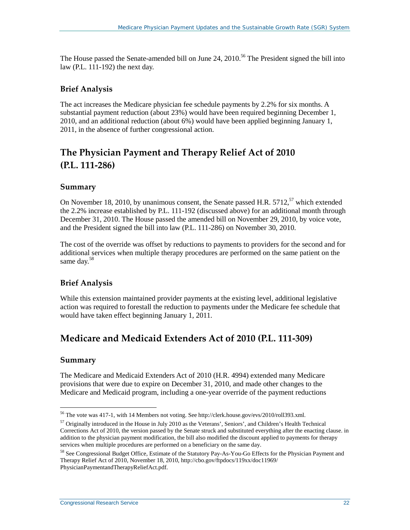The House passed the Senate-amended bill on June 24, 2010.<sup>56</sup> The President signed the bill into law [\(P.L. 111-192\)](http://www.congress.gov/cgi-lis/bdquery/R?d111:FLD002:@1(111+192)) the next day.

#### **Brief Analysis**

The act increases the Medicare physician fee schedule payments by 2.2% for six months. A substantial payment reduction (about 23%) would have been required beginning December 1, 2010, and an additional reduction (about 6%) would have been applied beginning January 1, 2011, in the absence of further congressional action.

## **The Physician Payment and Therapy Relief Act of 2010 [\(P.L. 111-286\)](http://www.congress.gov/cgi-lis/bdquery/R?d111:FLD002:@1(111+286))**

#### **Summary**

On November 18, 2010, by unanimous consent, the Senate passe[d H.R. 5712,](http://www.congress.gov/cgi-lis/bdquery/z?d111:H.R.5712:)<sup>57</sup> which extended the 2.2% increase established by [P.L. 111-192](http://www.congress.gov/cgi-lis/bdquery/R?d111:FLD002:@1(111+192)) (discussed above) for an additional month through December 31, 2010. The House passed the amended bill on November 29, 2010, by voice vote, and the President signed the bill into law [\(P.L. 111-286\)](http://www.congress.gov/cgi-lis/bdquery/R?d111:FLD002:@1(111+286)) on November 30, 2010.

The cost of the override was offset by reductions to payments to providers for the second and for additional services when multiple therapy procedures are performed on the same patient on the same day.<sup>58</sup>

#### **Brief Analysis**

While this extension maintained provider payments at the existing level, additional legislative action was required to forestall the reduction to payments under the Medicare fee schedule that would have taken effect beginning January 1, 2011.

### **Medicare and Medicaid Extenders Act of 2010 [\(P.L. 111-309\)](http://www.congress.gov/cgi-lis/bdquery/R?d111:FLD002:@1(111+309))**

#### **Summary**

 $\overline{a}$ 

The Medicare and Medicaid Extenders Act of 2010 [\(H.R. 4994\)](http://www.congress.gov/cgi-lis/bdquery/z?d111:H.R.4994:) extended many Medicare provisions that were due to expire on December 31, 2010, and made other changes to the Medicare and Medicaid program, including a one-year override of the payment reductions

<sup>&</sup>lt;sup>56</sup> The vote was 417-1, with 14 Members not voting. Se[e http://clerk.house.gov/evs/2010/roll393.xml.](http://clerk.house.gov/evs/2010/roll393.xml)

<sup>57</sup> Originally introduced in the House in July 2010 as the Veterans', Seniors', and Children's Health Technical Corrections Act of 2010, the version passed by the Senate struck and substituted everything after the enacting clause. in addition to the physician payment modification, the bill also modified the discount applied to payments for therapy services when multiple procedures are performed on a beneficiary on the same day.

<sup>58</sup> See Congressional Budget Office, Estimate of the Statutory Pay-As-You-Go Effects for the Physician Payment and Therapy Relief Act of 2010, November 18, 2010[, http://cbo.gov/ftpdocs/119xx/doc11969/](http://cbo.gov/ftpdocs/119xx/doc11969/PhysicianPaymentandTherapyReliefAct.pdf) [PhysicianPaymentandTherapyReliefAct.pdf.](http://cbo.gov/ftpdocs/119xx/doc11969/PhysicianPaymentandTherapyReliefAct.pdf)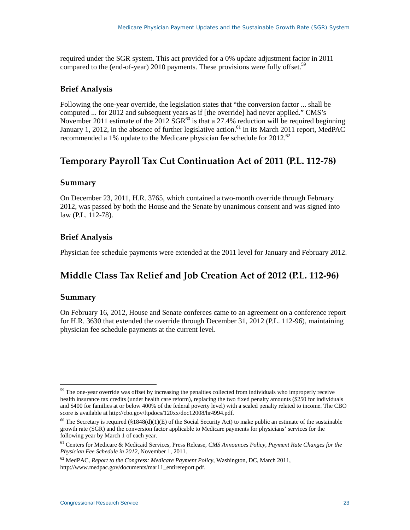required under the SGR system. This act provided for a 0% update adjustment factor in 2011 compared to the (end-of-year) 2010 payments. These provisions were fully offset.<sup>59</sup>

#### **Brief Analysis**

Following the one-year override, the legislation states that "the conversion factor ... shall be computed ... for 2012 and subsequent years as if [the override] had never applied." CMS's November 2011 estimate of the 2012  $SGR^{60}$  is that a 27.4% reduction will be required beginning January 1, 2012, in the absence of further legislative action.<sup>61</sup> In its March 2011 report, MedPAC recommended a 1% update to the Medicare physician fee schedule for  $2012^{62}$ 

### **Temporary Payroll Tax Cut Continuation Act of 2011 [\(P.L. 112-78\)](http://www.congress.gov/cgi-lis/bdquery/R?d112:FLD002:@1(112+78))**

#### **Summary**

On December 23, 2011[, H.R. 3765,](http://www.congress.gov/cgi-lis/bdquery/z?d112:H.R.3765:) which contained a two-month override through February 2012, was passed by both the House and the Senate by unanimous consent and was signed into law [\(P.L. 112-78\)](http://www.congress.gov/cgi-lis/bdquery/R?d112:FLD002:@1(112+78)).

#### **Brief Analysis**

Physician fee schedule payments were extended at the 2011 level for January and February 2012.

## **Middle Class Tax Relief and Job Creation Act of 2012 [\(P.L. 112-96\)](http://www.congress.gov/cgi-lis/bdquery/R?d112:FLD002:@1(112+96))**

#### **Summary**

On February 16, 2012, House and Senate conferees came to an agreement on a conference report for [H.R. 3630](http://www.congress.gov/cgi-lis/bdquery/z?d112:H.R.3630:) that extended the override through December 31, 2012 [\(P.L. 112-96\)](http://www.congress.gov/cgi-lis/bdquery/R?d112:FLD002:@1(112+96)), maintaining physician fee schedule payments at the current level.

<sup>&</sup>lt;sup>59</sup> The one-year override was offset by increasing the penalties collected from individuals who improperly receive health insurance tax credits (under health care reform), replacing the two fixed penalty amounts (\$250 for individuals and \$400 for families at or below 400% of the federal poverty level) with a scaled penalty related to income. The CBO score is available at [http://cbo.gov/ftpdocs/120xx/doc12008/hr4994.pdf.](http://cbo.gov/ftpdocs/120xx/doc12008/hr4994.pdf)  $\overline{a}$ 

<sup>&</sup>lt;sup>60</sup> The Secretary is required (§1848(d)(1)(E) of the Social Security Act) to make public an estimate of the sustainable growth rate (SGR) and the conversion factor applicable to Medicare payments for physicians' services for the following year by March 1 of each year.

<sup>61</sup> Centers for Medicare & Medicaid Services, Press Release, *CMS Announces Policy, Payment Rate Changes for the Physician Fee Schedule in 2012,* November 1, 2011.

<sup>62</sup> MedPAC, *Report to the Congress: Medicare Payment Policy*, Washington, DC, March 2011, [http://www.medpac.gov/documents/mar11\\_entirereport.pdf.](http://www.medpac.gov/documents/mar11_entirereport.pdf)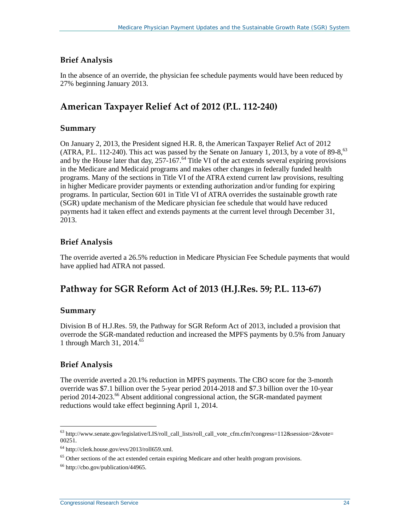#### **Brief Analysis**

In the absence of an override, the physician fee schedule payments would have been reduced by 27% beginning January 2013.

## **American Taxpayer Relief Act of 2012 [\(P.L. 112-240\)](http://www.congress.gov/cgi-lis/bdquery/R?d112:FLD002:@1(112+240))**

#### **Summary**

On January 2, 2013, the President signed [H.R. 8,](http://www.congress.gov/cgi-lis/bdquery/z?d112:H.R.8:) the American Taxpayer Relief Act of 2012 (ATRA, [P.L. 112-240\)](http://www.congress.gov/cgi-lis/bdquery/R?d112:FLD002:@1(112+240)). This act was passed by the Senate on January 1, 2013, by a vote of 89-8,<sup>63</sup> and by the House later that day,  $257-167.64$  Title VI of the act extends several expiring provisions in the Medicare and Medicaid programs and makes other changes in federally funded health programs. Many of the sections in Title VI of the ATRA extend current law provisions, resulting in higher Medicare provider payments or extending authorization and/or funding for expiring programs. In particular, Section 601 in Title VI of ATRA overrides the sustainable growth rate (SGR) update mechanism of the Medicare physician fee schedule that would have reduced payments had it taken effect and extends payments at the current level through December 31, 2013.

#### **Brief Analysis**

The override averted a 26.5% reduction in Medicare Physician Fee Schedule payments that would have applied had ATRA not passed.

### **Pathway for SGR Reform Act of 2013 [\(H.J.Res. 59;](http://www.congress.gov/cgi-lis/bdquery/z?d113:H.J.Res.59:) [P.L. 113-67\)](http://www.congress.gov/cgi-lis/bdquery/R?d113:FLD002:@1(113+67))**

#### **Summary**

Division B of [H.J.Res. 59,](http://www.congress.gov/cgi-lis/bdquery/z?d113:H.J.Res.59:) the Pathway for SGR Reform Act of 2013, included a provision that overrode the SGR-mandated reduction and increased the MPFS payments by 0.5% from January 1 through March 31, 2014.65

#### **Brief Analysis**

 $\overline{a}$ 

The override averted a 20.1% reduction in MPFS payments. The CBO score for the 3-month override was \$7.1 billion over the 5-year period 2014-2018 and \$7.3 billion over the 10-year period 2014-2023. <sup>66</sup> Absent additional congressional action, the SGR-mandated payment reductions would take effect beginning April 1, 2014.

<sup>&</sup>lt;sup>63</sup> [http://www.senate.gov/legislative/LIS/roll\\_call\\_lists/roll\\_call\\_vote\\_cfm.cfm?congress=112&session=2&vote=](http://www.senate.gov/legislative/LIS/roll_call_lists/roll_call_vote_cfm.cfm?congress=112&session=2&vote=00251) [00251.](http://www.senate.gov/legislative/LIS/roll_call_lists/roll_call_vote_cfm.cfm?congress=112&session=2&vote=00251)

<sup>64</sup> [http://clerk.house.gov/evs/2013/roll659.xml.](http://clerk.house.gov/evs/2013/roll659.xml)

 $<sup>65</sup>$  Other sections of the act extended certain expiring Medicare and other health program provisions.</sup>

<sup>66</sup> [http://cbo.gov/publication/44965.](http://cbo.gov/publication/44965)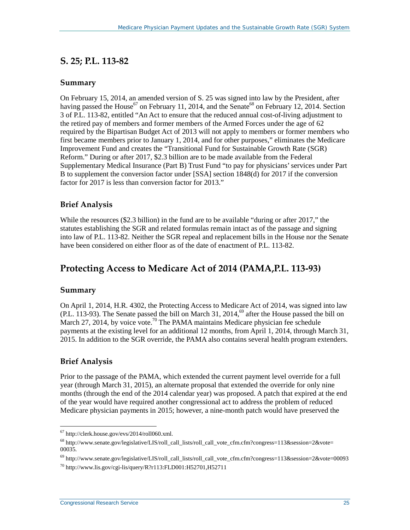### **[S. 25;](http://www.congress.gov/cgi-lis/bdquery/z?d113:S.25:) [P.L. 113-82](http://www.congress.gov/cgi-lis/bdquery/R?d113:FLD002:@1(113+82))**

#### **Summary**

On February 15, 2014, an amended version of [S. 25](http://www.congress.gov/cgi-lis/bdquery/z?d113:S.25:) was signed into law by the President, after having passed the House<sup>67</sup> on February 11, 2014, and the Senate<sup>68</sup> on February 12, 2014. Section 3 of [P.L. 113-82,](http://www.congress.gov/cgi-lis/bdquery/R?d113:FLD002:@1(113+82)) entitled "An Act to ensure that the reduced annual cost-of-living adjustment to the retired pay of members and former members of the Armed Forces under the age of 62 required by the Bipartisan Budget Act of 2013 will not apply to members or former members who first became members prior to January 1, 2014, and for other purposes," eliminates the Medicare Improvement Fund and creates the "Transitional Fund for Sustainable Growth Rate (SGR) Reform." During or after 2017, \$2.3 billion are to be made available from the Federal Supplementary Medical Insurance (Part B) Trust Fund "to pay for physicians'services under Part B to supplement the conversion factor under [SSA] section 1848(d) for 2017 if the conversion factor for 2017 is less than conversion factor for 2013."

#### **Brief Analysis**

While the resources (\$2.3 billion) in the fund are to be available "during or after 2017," the statutes establishing the SGR and related formulas remain intact as of the passage and signing into law of [P.L. 113-82.](http://www.congress.gov/cgi-lis/bdquery/R?d113:FLD002:@1(113+82)) Neither the SGR repeal and replacement bills in the House nor the Senate have been considered on either floor as of the date of enactment of [P.L. 113-82.](http://www.congress.gov/cgi-lis/bdquery/R?d113:FLD002:@1(113+82))

### **Protecting Access to Medicare Act of 2014 (PAMA[,P.L. 113-93\)](http://www.congress.gov/cgi-lis/bdquery/R?d113:FLD002:@1(113+93))**

#### **Summary**

On April 1, 2014, [H.R. 4302,](http://www.congress.gov/cgi-lis/bdquery/z?d113:H.R.4302:) the Protecting Access to Medicare Act of 2014, was signed into law  $(PL. 113-93)$ . The Senate passed the bill on March 31, 2014,<sup>69</sup> after the House passed the bill on March 27, 2014, by voice vote.<sup>70</sup> The PAMA maintains Medicare physician fee schedule payments at the existing level for an additional 12 months, from April 1, 2014, through March 31, 2015. In addition to the SGR override, the PAMA also contains several health program extenders.

#### **Brief Analysis**

Prior to the passage of the PAMA, which extended the current payment level override for a full year (through March 31, 2015), an alternate proposal that extended the override for only nine months (through the end of the 2014 calendar year) was proposed. A patch that expired at the end of the year would have required another congressional act to address the problem of reduced Medicare physician payments in 2015; however, a nine-month patch would have preserved the

 $67$  [http://clerk.house.gov/evs/2014/roll060.xml.](http://clerk.house.gov/evs/2014/roll060.xml)  $\overline{a}$ 

 $^{68}$  [http://www.senate.gov/legislative/LIS/roll\\_call\\_lists/roll\\_call\\_vote\\_cfm.cfm?congress=113&session=2&vote=](http://www.senate.gov/legislative/LIS/roll_call_lists/roll_call_vote_cfm.cfm?congress=113&session=2&vote=00035) [00035.](http://www.senate.gov/legislative/LIS/roll_call_lists/roll_call_vote_cfm.cfm?congress=113&session=2&vote=00035)

 $^{69}$  http://www.senate.gov/legislative/LIS/roll call lists/roll call vote cfm.cfm?congress=113&session=2&vote=00093

 $^{70}$  <http://www.lis.gov/cgi-lis/query/R?r113:FLD001:H52701,H52711>